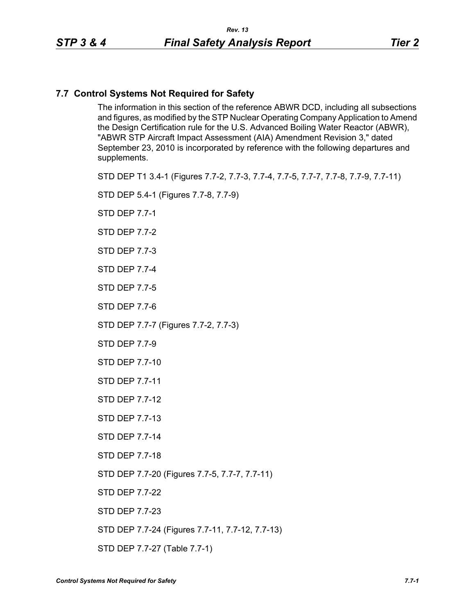# **7.7 Control Systems Not Required for Safety**

The information in this section of the reference ABWR DCD, including all subsections and figures, as modified by the STP Nuclear Operating Company Application to Amend the Design Certification rule for the U.S. Advanced Boiling Water Reactor (ABWR), "ABWR STP Aircraft Impact Assessment (AIA) Amendment Revision 3," dated September 23, 2010 is incorporated by reference with the following departures and supplements.

STD DEP T1 3.4-1 (Figures 7.7-2, 7.7-3, 7.7-4, 7.7-5, 7.7-7, 7.7-8, 7.7-9, 7.7-11)

STD DEP 5.4-1 (Figures 7.7-8, 7.7-9)

STD DEP 7.7-1

STD DEP 7.7-2

STD DEP 7.7-3

STD DEP 7.7-4

STD DEP 7.7-5

STD DEP 7.7-6

STD DEP 7.7-7 (Figures 7.7-2, 7.7-3)

STD DEP 7.7-9

STD DEP 7.7-10

STD DEP 7.7-11

STD DEP 7.7-12

STD DEP 7.7-13

STD DEP 7.7-14

STD DEP 7.7-18

STD DEP 7.7-20 (Figures 7.7-5, 7.7-7, 7.7-11)

STD DEP 7.7-22

STD DEP 7.7-23

STD DEP 7.7-24 (Figures 7.7-11, 7.7-12, 7.7-13)

STD DEP 7.7-27 (Table 7.7-1)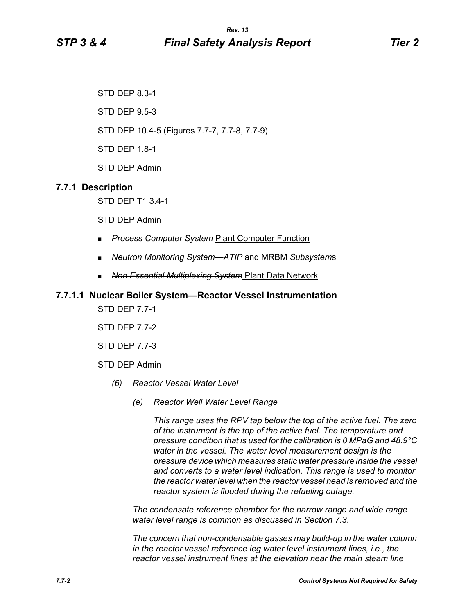STD DEP 8.3-1

STD DEP 9.5-3

STD DEP 10.4-5 (Figures 7.7-7, 7.7-8, 7.7-9)

STD DEP 1.8-1

STD DEP Admin

# **7.7.1 Description**

STD DEP T1 3.4-1

STD DEP Admin

- *Process Computer System* Plant Computer Function
- *Neutron Monitoring System—ATIP* and MRBM *Subsystem*s
- *Non Essential Multiplexing System* Plant Data Network

# **7.7.1.1 Nuclear Boiler System—Reactor Vessel Instrumentation**

STD DEP 7.7-1

STD DEP 7.7-2

STD DEP 7.7-3

STD DEP Admin

- *(6) Reactor Vessel Water Level*
	- *(e) Reactor Well Water Level Range*

*This range uses the RPV tap below the top of the active fuel. The zero of the instrument is the top of the active fuel. The temperature and pressure condition that is used for the calibration is 0 MPaG and 48.9°C water in the vessel. The water level measurement design is the pressure device which measures static water pressure inside the vessel and converts to a water level indication. This range is used to monitor the reactor water level when the reactor vessel head is removed and the reactor system is flooded during the refueling outage.*

*The condensate reference chamber for the narrow range and wide range water level range is common as discussed in Section 7.3*.

*The concern that non-condensable gasses may build-up in the water column in the reactor vessel reference leg water level instrument lines, i.e., the reactor vessel instrument lines at the elevation near the main steam line*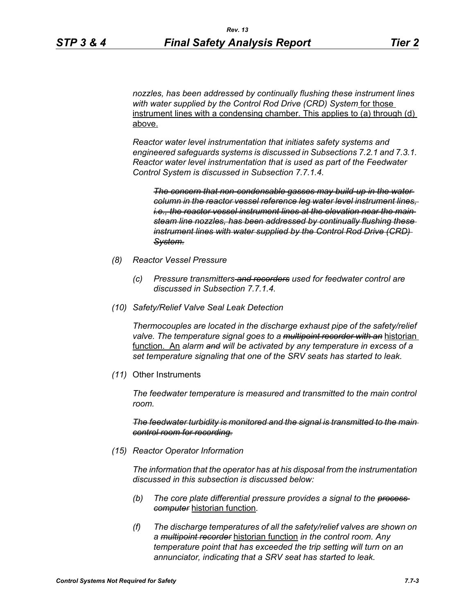*nozzles, has been addressed by continually flushing these instrument lines with water supplied by the Control Rod Drive (CRD) System* for those instrument lines with a condensing chamber. This applies to (a) through (d) above.

*Reactor water level instrumentation that initiates safety systems and engineered safeguards systems is discussed in Subsections 7.2.1 and 7.3.1. Reactor water level instrumentation that is used as part of the Feedwater Control System is discussed in Subsection 7.7.1.4.*

*The concern that non-condensable gasses may build-up in the water column in the reactor vessel reference leg water level instrument lines, i.e., the reactor vessel instrument lines at the elevation near the main steam line nozzles, has been addressed by continually flushing these instrument lines with water supplied by the Control Rod Drive (CRD) System.*

- *(8) Reactor Vessel Pressure*
	- *(c) Pressure transmitters and recorders used for feedwater control are discussed in Subsection 7.7.1.4.*
- *(10) Safety/Relief Valve Seal Leak Detection*

*Thermocouples are located in the discharge exhaust pipe of the safety/relief valve. The temperature signal goes to a multipoint recorder with an* historian function. An *alarm and will be activated by any temperature in excess of a set temperature signaling that one of the SRV seats has started to leak.*

*(11)* Other Instruments

*The feedwater temperature is measured and transmitted to the main control room.*

*The feedwater turbidity is monitored and the signal is transmitted to the main control room for recording.*

*(15) Reactor Operator Information*

*The information that the operator has at his disposal from the instrumentation discussed in this subsection is discussed below:*

- *(b) The core plate differential pressure provides a signal to the process computer* historian function*.*
- *(f) The discharge temperatures of all the safety/relief valves are shown on a multipoint recorder* historian function *in the control room. Any temperature point that has exceeded the trip setting will turn on an annunciator, indicating that a SRV seat has started to leak.*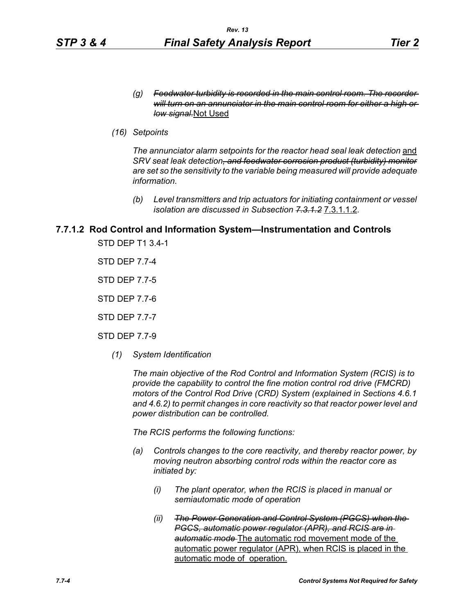*(16) Setpoints*

The annunciator alarm setpoints for the reactor head seal leak detection and *SRV seat leak detection, and feedwater corrosion product (turbidity) monitor are set so the sensitivity to the variable being measured will provide adequate information.*

*(b) Level transmitters and trip actuators for initiating containment or vessel isolation are discussed in Subsection 7.3.1.2* 7.3.1.1.2*.*

# **7.7.1.2 Rod Control and Information System—Instrumentation and Controls**

STD DEP T1 3.4-1

STD DEP 7.7-4

STD DEP 7.7-5

STD DEP 7.7-6

STD DEP 7.7-7

STD DEP 7.7-9

*(1) System Identification*

*The main objective of the Rod Control and Information System (RCIS) is to provide the capability to control the fine motion control rod drive (FMCRD) motors of the Control Rod Drive (CRD) System (explained in Sections 4.6.1 and 4.6.2) to permit changes in core reactivity so that reactor power level and power distribution can be controlled.* 

*The RCIS performs the following functions:*

- *(a) Controls changes to the core reactivity, and thereby reactor power, by moving neutron absorbing control rods within the reactor core as initiated by:*
	- *(i) The plant operator, when the RCIS is placed in manual or semiautomatic mode of operation*
	- *(ii) The Power Generation and Control System (PGCS) when the PGCS, automatic power regulator (APR), and RCIS are in automatic mode* The automatic rod movement mode of the automatic power regulator (APR), when RCIS is placed in the automatic mode of operation.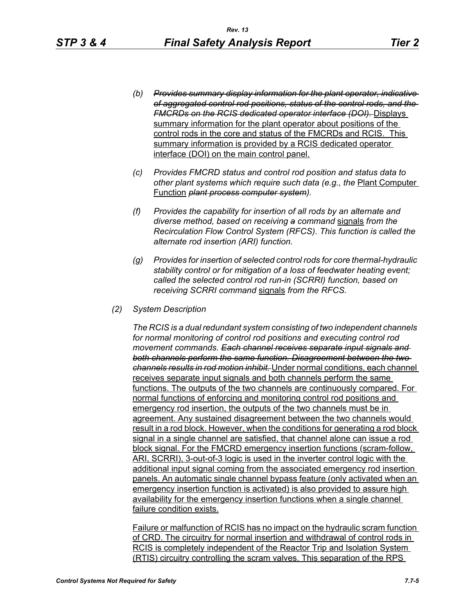- *(b) Provides summary display information for the plant operator, indicative of aggregated control rod positions, status of the control rods, and the FMCRDs on the RCIS dedicated operator interface (DOI).* Displays summary information for the plant operator about positions of the control rods in the core and status of the FMCRDs and RCIS. This summary information is provided by a RCIS dedicated operator interface (DOI) on the main control panel.
- *(c) Provides FMCRD status and control rod position and status data to*  other plant systems which require such data (e.g., the **Plant Computer** Function *plant process computer system).*
- *(f) Provides the capability for insertion of all rods by an alternate and diverse method, based on receiving a command* signals *from the Recirculation Flow Control System (RFCS). This function is called the alternate rod insertion (ARI) function.*
- *(g) Provides for insertion of selected control rods for core thermal-hydraulic stability control or for mitigation of a loss of feedwater heating event; called the selected control rod run-in (SCRRI) function, based on receiving SCRRI command* signals *from the RFCS.*
- *(2) System Description*

*The RCIS is a dual redundant system consisting of two independent channels for normal monitoring of control rod positions and executing control rod movement commands. Each channel receives separate input signals and both channels perform the same function. Disagreement between the two channels results in rod motion inhibit.* Under normal conditions, each channel receives separate input signals and both channels perform the same functions. The outputs of the two channels are continuously compared. For normal functions of enforcing and monitoring control rod positions and emergency rod insertion, the outputs of the two channels must be in agreement. Any sustained disagreement between the two channels would result in a rod block. However, when the conditions for generating a rod block signal in a single channel are satisfied, that channel alone can issue a rod block signal. For the FMCRD emergency insertion functions (scram-follow, ARI, SCRRI), 3-out-of-3 logic is used in the inverter control logic with the additional input signal coming from the associated emergency rod insertion panels. An automatic single channel bypass feature (only activated when an emergency insertion function is activated) is also provided to assure high availability for the emergency insertion functions when a single channel failure condition exists.

Failure or malfunction of RCIS has no impact on the hydraulic scram function of CRD. The circuitry for normal insertion and withdrawal of control rods in RCIS is completely independent of the Reactor Trip and Isolation System (RTIS) circuitry controlling the scram valves. This separation of the RPS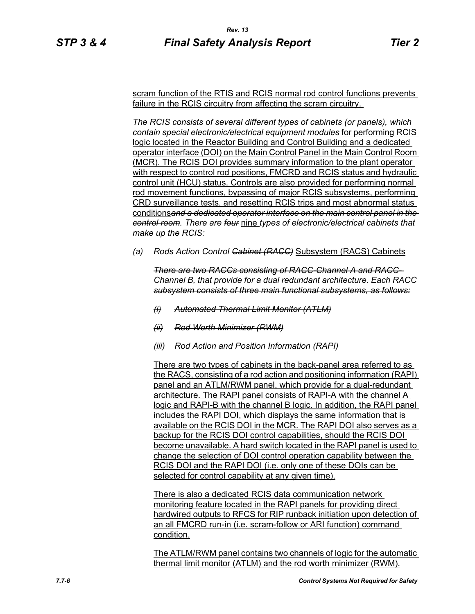scram function of the RTIS and RCIS normal rod control functions prevents failure in the RCIS circuitry from affecting the scram circuitry.

*The RCIS consists of several different types of cabinets (or panels), which contain special electronic/electrical equipment modules* for performing RCIS logic located in the Reactor Building and Control Building and a dedicated operator interface (DOI) on the Main Control Panel in the Main Control Room (MCR). The RCIS DOI provides summary information to the plant operator with respect to control rod positions, FMCRD and RCIS status and hydraulic control unit (HCU) status. Controls are also provided for performing normal rod movement functions, bypassing of major RCIS subsystems, performing CRD surveillance tests, and resetting RCIS trips and most abnormal status conditions*and a dedicated operator interface on the main control panel in the control room. There are four* nine *types of electronic/electrical cabinets that make up the RCIS:*

*(a) Rods Action Control Cabinet (RACC)* Subsystem (RACS) Cabinets

*There are two RACCs consisting of RACC-Channel A and RACC-Channel B, that provide for a dual redundant architecture. Each RACC subsystem consists of three main functional subsystems, as follows:*

- *(i) Automated Thermal Limit Monitor (ATLM)*
- *(ii) Rod Worth Minimizer (RWM)*
- *(iii) Rod Action and Position Information (RAPI)*

There are two types of cabinets in the back-panel area referred to as the RACS, consisting of a rod action and positioning information (RAPI) panel and an ATLM/RWM panel, which provide for a dual-redundant architecture. The RAPI panel consists of RAPI-A with the channel A logic and RAPI-B with the channel B logic. In addition, the RAPI panel includes the RAPI DOI, which displays the same information that is available on the RCIS DOI in the MCR. The RAPI DOI also serves as a backup for the RCIS DOI control capabilities, should the RCIS DOI become unavailable. A hard switch located in the RAPI panel is used to change the selection of DOI control operation capability between the RCIS DOI and the RAPI DOI (i.e. only one of these DOIs can be selected for control capability at any given time).

There is also a dedicated RCIS data communication network monitoring feature located in the RAPI panels for providing direct hardwired outputs to RFCS for RIP runback initiation upon detection of an all FMCRD run-in (i.e. scram-follow or ARI function) command condition.

The ATLM/RWM panel contains two channels of logic for the automatic thermal limit monitor (ATLM) and the rod worth minimizer (RWM).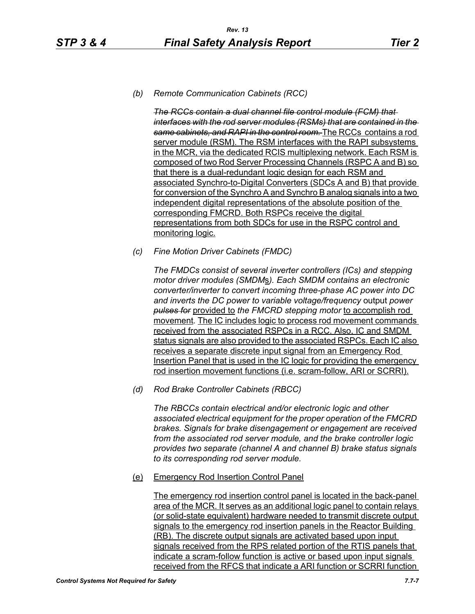#### *(b) Remote Communication Cabinets (RCC)*

*The RCCs contain a dual channel file control module (FCM) that interfaces with the rod server modules (RSMs) that are contained in the same cabinets, and RAPI in the control room.* The RCCs contains a rod server module (RSM). The RSM interfaces with the RAPI subsystems in the MCR, via the dedicated RCIS multiplexing network. Each RSM is composed of two Rod Server Processing Channels (RSPC A and B) so that there is a dual-redundant logic design for each RSM and associated Synchro-to-Digital Converters (SDCs A and B) that provide for conversion of the Synchro A and Synchro B analog signals into a two independent digital representations of the absolute position of the corresponding FMCRD. Both RSPCs receive the digital representations from both SDCs for use in the RSPC control and monitoring logic.

*(c) Fine Motion Driver Cabinets (FMDC)* 

*The FMDCs consist of several inverter controllers (ICs) and stepping motor driver modules (SMDM*s*). Each SMDM contains an electronic converter/inverter to convert incoming three-phase AC power into DC and inverts the DC power to variable voltage/frequency* output *power pulses for* provided to *the FMCRD stepping motor* to accomplish rod movement*.* The IC includes logic to process rod movement commands received from the associated RSPCs in a RCC. Also, IC and SMDM status signals are also provided to the associated RSPCs. Each IC also receives a separate discrete input signal from an Emergency Rod Insertion Panel that is used in the IC logic for providing the emergency rod insertion movement functions (i.e. scram-follow, ARI or SCRRI).

*(d) Rod Brake Controller Cabinets (RBCC)*

*The RBCCs contain electrical and/or electronic logic and other associated electrical equipment for the proper operation of the FMCRD brakes. Signals for brake disengagement or engagement are received from the associated rod server module, and the brake controller logic provides two separate (channel A and channel B) brake status signals to its corresponding rod server module.*

(e) Emergency Rod Insertion Control Panel

The emergency rod insertion control panel is located in the back-panel area of the MCR. It serves as an additional logic panel to contain relays (or solid-state equivalent) hardware needed to transmit discrete output signals to the emergency rod insertion panels in the Reactor Building (RB). The discrete output signals are activated based upon input signals received from the RPS related portion of the RTIS panels that indicate a scram-follow function is active or based upon input signals received from the RFCS that indicate a ARI function or SCRRI function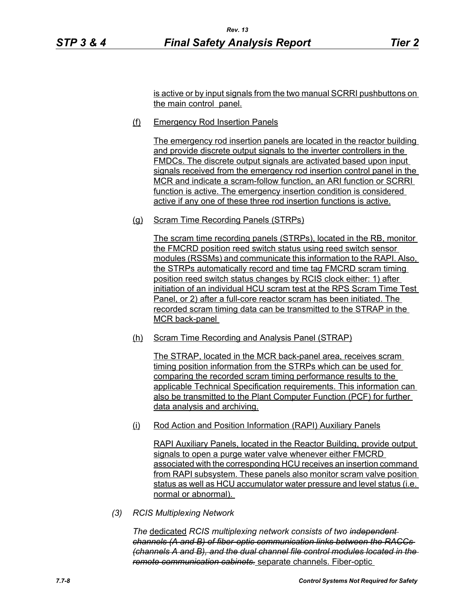is active or by input signals from the two manual SCRRI pushbuttons on the main control panel.

(f) Emergency Rod Insertion Panels

The emergency rod insertion panels are located in the reactor building and provide discrete output signals to the inverter controllers in the FMDCs. The discrete output signals are activated based upon input signals received from the emergency rod insertion control panel in the MCR and indicate a scram-follow function, an ARI function or SCRRI function is active. The emergency insertion condition is considered active if any one of these three rod insertion functions is active.

(g) Scram Time Recording Panels (STRPs)

The scram time recording panels (STRPs), located in the RB, monitor the FMCRD position reed switch status using reed switch sensor modules (RSSMs) and communicate this information to the RAPI. Also, the STRPs automatically record and time tag FMCRD scram timing position reed switch status changes by RCIS clock either: 1) after initiation of an individual HCU scram test at the RPS Scram Time Test Panel, or 2) after a full-core reactor scram has been initiated. The recorded scram timing data can be transmitted to the STRAP in the MCR back-panel

(h) Scram Time Recording and Analysis Panel (STRAP)

The STRAP, located in the MCR back-panel area, receives scram timing position information from the STRPs which can be used for comparing the recorded scram timing performance results to the applicable Technical Specification requirements. This information can also be transmitted to the Plant Computer Function (PCF) for further data analysis and archiving.

(i) Rod Action and Position Information (RAPI) Auxiliary Panels

RAPI Auxiliary Panels, located in the Reactor Building, provide output signals to open a purge water valve whenever either FMCRD associated with the corresponding HCU receives an insertion command from RAPI subsystem. These panels also monitor scram valve position status as well as HCU accumulator water pressure and level status (i.e. normal or abnormal).

*(3) RCIS Multiplexing Network*

*The* dedicated *RCIS multiplexing network consists of two independent channels (A and B) of fiber-optic communication links between the RACCs (channels A and B), and the dual channel file control modules located in the remote communication cabinets.* separate channels. Fiber-optic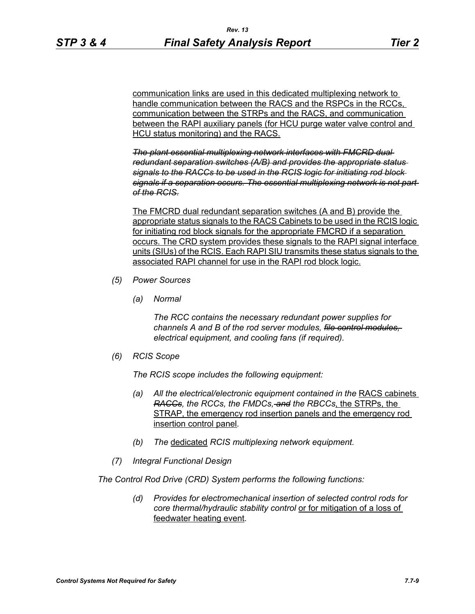communication links are used in this dedicated multiplexing network to handle communication between the RACS and the RSPCs in the RCCs, communication between the STRPs and the RACS, and communication between the RAPI auxiliary panels (for HCU purge water valve control and HCU status monitoring) and the RACS.

*The plant essential multiplexing network interfaces with FMCRD dual redundant separation switches (A/B) and provides the appropriate status signals to the RACCs to be used in the RCIS logic for initiating rod block signals if a separation occurs. The essential multiplexing network is not part of the RCIS.*

The FMCRD dual redundant separation switches (A and B) provide the appropriate status signals to the RACS Cabinets to be used in the RCIS logic for initiating rod block signals for the appropriate FMCRD if a separation occurs. The CRD system provides these signals to the RAPI signal interface units (SIUs) of the RCIS. Each RAPI SIU transmits these status signals to the associated RAPI channel for use in the RAPI rod block logic.

- *(5) Power Sources*
	- *(a) Normal*

*The RCC contains the necessary redundant power supplies for channels A and B of the rod server modules, file control modules, electrical equipment, and cooling fans (if required).*

*(6) RCIS Scope*

*The RCIS scope includes the following equipment:*

- *(a)* All the electrical/electronic equipment contained in the RACS cabinets *RACCs, the RCCs, the FMDCs, and the RBCCs*, the STRPs, the STRAP, the emergency rod insertion panels and the emergency rod insertion control panel*.*
- *(b) The* dedicated *RCIS multiplexing network equipment.*
- *(7) Integral Functional Design*

*The Control Rod Drive (CRD) System performs the following functions:*

*(d) Provides for electromechanical insertion of selected control rods for core thermal/hydraulic stability control* or for mitigation of a loss of feedwater heating event*.*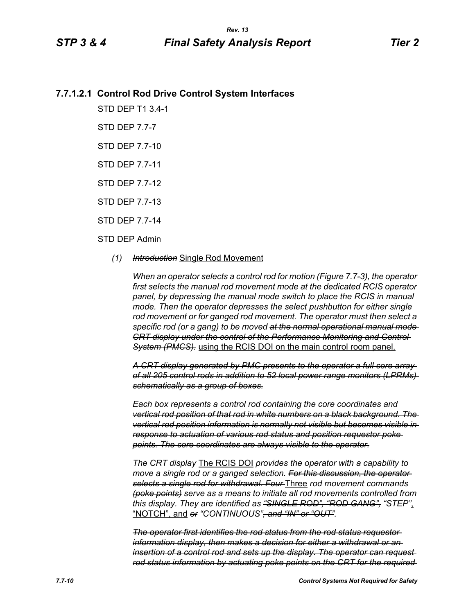# **7.7.1.2.1 Control Rod Drive Control System Interfaces**

STD DEP T1 3.4-1

STD DEP 7.7-7

STD DEP 7.7-10

STD DEP 7.7-11

STD DEP 7.7-12

STD DEP 7.7-13

STD DEP 7.7-14

#### STD DEP Admin

#### *(1) Introduction* Single Rod Movement

*When an operator selects a control rod for motion (Figure 7.7-3), the operator first selects the manual rod movement mode at the dedicated RCIS operator panel, by depressing the manual mode switch to place the RCIS in manual mode. Then the operator depresses the select pushbutton for either single rod movement or for ganged rod movement. The operator must then select a specific rod (or a gang) to be moved at the normal operational manual mode CRT display under the control of the Performance Monitoring and Control System (PMCS).* using the RCIS DOI on the main control room panel.

*A CRT display generated by PMC presents to the operator a full core array of all 205 control rods in addition to 52 local power range monitors (LPRMs) schematically as a group of boxes.*

*Each box represents a control rod containing the core coordinates and vertical rod position of that rod in white numbers on a black background. The vertical rod position information is normally not visible but becomes visible in response to actuation of various rod status and position requestor poke points. The core coordinates are always visible to the operator.*

*The CRT display* The RCIS DOI *provides the operator with a capability to move a single rod or a ganged selection. For this discussion, the operator selects a single rod for withdrawal. Four* Three *rod movement commands (poke points) serve as a means to initiate all rod movements controlled from this display. They are identified as "SINGLE ROD", "ROD GANG", "STEP"*, "NOTCH", and *or "CONTINUOUS", and "IN" or "OUT".*

*The operator first identifies the rod status from the rod status requestor information display, then makes a decision for either a withdrawal or an insertion of a control rod and sets up the display. The operator can request rod status information by actuating poke points on the CRT for the required*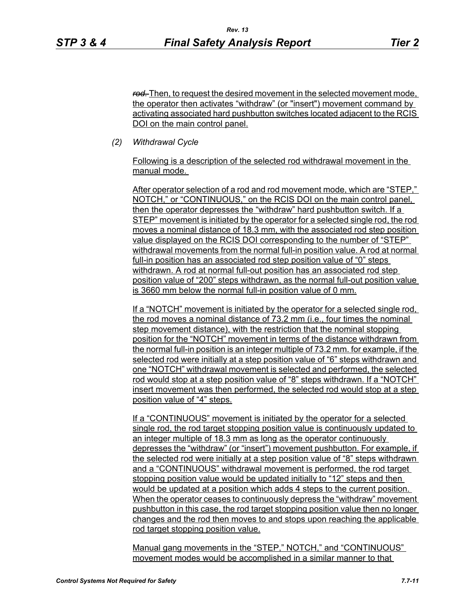*rod.* Then, to request the desired movement in the selected movement mode, the operator then activates "withdraw" (or "insert") movement command by activating associated hard pushbutton switches located adjacent to the RCIS DOI on the main control panel.

*(2) Withdrawal Cycle* 

Following is a description of the selected rod withdrawal movement in the manual mode.

After operator selection of a rod and rod movement mode, which are "STEP," NOTCH," or "CONTINUOUS," on the RCIS DOI on the main control panel, then the operator depresses the "withdraw" hard pushbutton switch. If a STEP" movement is initiated by the operator for a selected single rod, the rod moves a nominal distance of 18.3 mm, with the associated rod step position value displayed on the RCIS DOI corresponding to the number of "STEP" withdrawal movements from the normal full-in position value. A rod at normal full-in position has an associated rod step position value of "0" steps withdrawn. A rod at normal full-out position has an associated rod step position value of "200" steps withdrawn, as the normal full-out position value is 3660 mm below the normal full-in position value of 0 mm.

If a "NOTCH" movement is initiated by the operator for a selected single rod, the rod moves a nominal distance of 73.2 mm (i.e., four times the nominal step movement distance), with the restriction that the nominal stopping position for the "NOTCH" movement in terms of the distance withdrawn from the normal full-in position is an integer multiple of 73.2 mm. for example, if the selected rod were initially at a step position value of "6" steps withdrawn and one "NOTCH" withdrawal movement is selected and performed, the selected rod would stop at a step position value of "8" steps withdrawn. If a "NOTCH" insert movement was then performed, the selected rod would stop at a step position value of "4" steps.

If a "CONTINUOUS" movement is initiated by the operator for a selected single rod, the rod target stopping position value is continuously updated to an integer multiple of 18.3 mm as long as the operator continuously depresses the "withdraw" (or "insert") movement pushbutton. For example, if the selected rod were initially at a step position value of "8" steps withdrawn and a "CONTINUOUS" withdrawal movement is performed, the rod target stopping position value would be updated initially to "12" steps and then would be updated at a position which adds 4 steps to the current position. When the operator ceases to continuously depress the "withdraw" movement pushbutton in this case, the rod target stopping position value then no longer changes and the rod then moves to and stops upon reaching the applicable rod target stopping position value.

Manual gang movements in the "STEP," NOTCH," and "CONTINUOUS" movement modes would be accomplished in a similar manner to that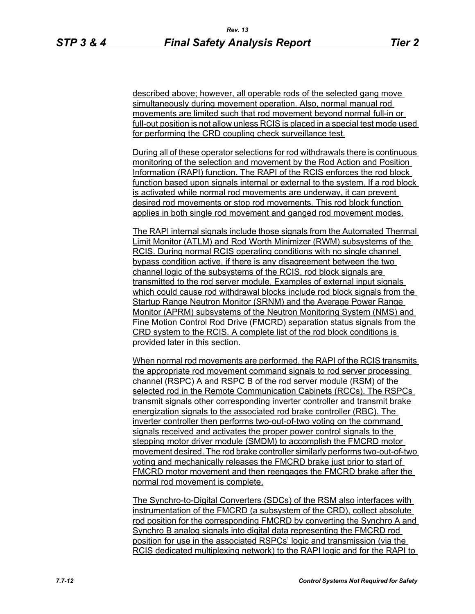described above; however, all operable rods of the selected gang move simultaneously during movement operation. Also, normal manual rod movements are limited such that rod movement beyond normal full-in or full-out position is not allow unless RCIS is placed in a special test mode used for performing the CRD coupling check surveillance test.

During all of these operator selections for rod withdrawals there is continuous monitoring of the selection and movement by the Rod Action and Position Information (RAPI) function. The RAPI of the RCIS enforces the rod block function based upon signals internal or external to the system. If a rod block is activated while normal rod movements are underway, it can prevent desired rod movements or stop rod movements. This rod block function applies in both single rod movement and ganged rod movement modes.

The RAPI internal signals include those signals from the Automated Thermal Limit Monitor (ATLM) and Rod Worth Minimizer (RWM) subsystems of the RCIS. During normal RCIS operating conditions with no single channel bypass condition active, if there is any disagreement between the two channel logic of the subsystems of the RCIS, rod block signals are transmitted to the rod server module. Examples of external input signals which could cause rod withdrawal blocks include rod block signals from the Startup Range Neutron Monitor (SRNM) and the Average Power Range Monitor (APRM) subsystems of the Neutron Monitoring System (NMS) and Fine Motion Control Rod Drive (FMCRD) separation status signals from the CRD system to the RCIS. A complete list of the rod block conditions is provided later in this section.

When normal rod movements are performed, the RAPI of the RCIS transmits the appropriate rod movement command signals to rod server processing channel (RSPC) A and RSPC B of the rod server module (RSM) of the selected rod in the Remote Communication Cabinets (RCCs). The RSPCs transmit signals other corresponding inverter controller and transmit brake energization signals to the associated rod brake controller (RBC). The inverter controller then performs two-out-of-two voting on the command signals received and activates the proper power control signals to the stepping motor driver module (SMDM) to accomplish the FMCRD motor movement desired. The rod brake controller similarly performs two-out-of-two voting and mechanically releases the FMCRD brake just prior to start of FMCRD motor movement and then reengages the FMCRD brake after the normal rod movement is complete.

The Synchro-to-Digital Converters (SDCs) of the RSM also interfaces with instrumentation of the FMCRD (a subsystem of the CRD), collect absolute rod position for the corresponding FMCRD by converting the Synchro A and Synchro B analog signals into digital data representing the FMCRD rod position for use in the associated RSPCs' logic and transmission (via the RCIS dedicated multiplexing network) to the RAPI logic and for the RAPI to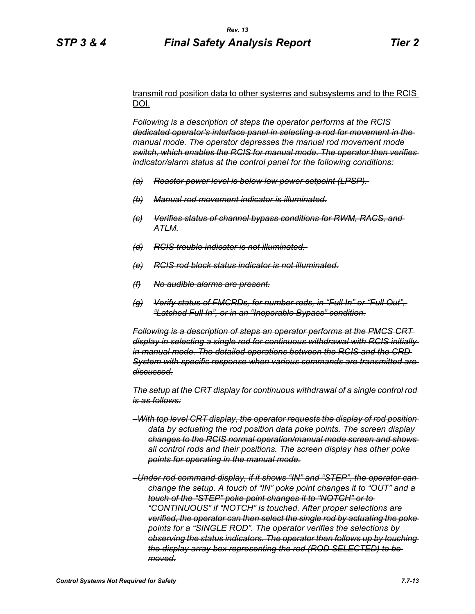#### transmit rod position data to other systems and subsystems and to the RCIS DOI.

*Following is a description of steps the operator performs at the RCIS dedicated operator's interface panel in selecting a rod for movement in the manual mode. The operator depresses the manual rod movement mode switch, which enables the RCIS for manual mode. The operator then verifies indicator/alarm status at the control panel for the following conditions:*

- *(a) Reactor power level is below low power setpoint (LPSP).*
- *(b) Manual rod movement indicator is illuminated.*
- *(c) Verifies status of channel bypass conditions for RWM, RACS, and ATLM.*
- *(d) RCIS trouble indicator is not illuminated.*
- *(e) RCIS rod block status indicator is not illuminated.*
- *(f) No audible alarms are present.*
- *(g) Verify status of FMCRDs, for number rods, in "Full In" or "Full Out", "Latched Full In", or in an "Inoperable Bypass" condition.*

*Following is a description of steps an operator performs at the PMCS CRT display in selecting a single rod for continuous withdrawal with RCIS initially in manual mode. The detailed operations between the RCIS and the CRD System with specific response when various commands are transmitted are discussed.*

*The setup at the CRT display for continuous withdrawal of a single control rod is as follows:*

- *–With top level CRT display, the operator requests the display of rod position data by actuating the rod position data poke points. The screen display changes to the RCIS normal operation/manual mode screen and shows all control rods and their positions. The screen display has other poke points for operating in the manual mode.*
- *–Under rod command display, if it shows "IN" and "STEP", the operator can change the setup. A touch of "IN" poke point changes it to "OUT" and a touch of the "STEP" poke point changes it to "NOTCH" or to "CONTINUOUS" if "NOTCH" is touched. After proper selections are verified, the operator can then select the single rod by actuating the poke points for a "SINGLE ROD". The operator verifies the selections by observing the status indicators. The operator then follows up by touching the display array box representing the rod (ROD SELECTED) to be moved.*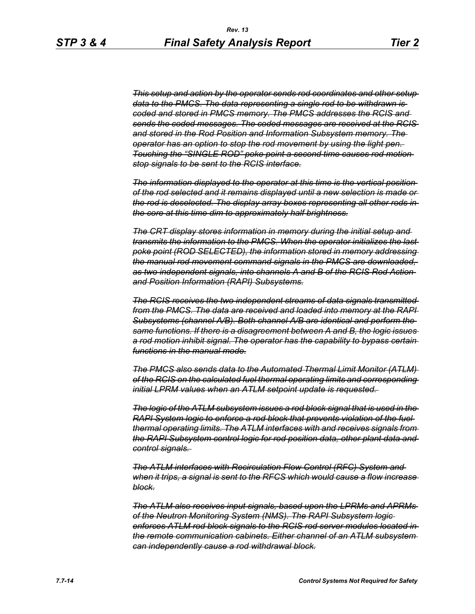*This setup and action by the operator sends rod coordinates and other setup data to the PMCS. The data representing a single rod to be withdrawn is coded and stored in PMCS memory. The PMCS addresses the RCIS and sends the coded messages. The coded messages are received at the RCIS and stored in the Rod Position and Information Subsystem memory. The operator has an option to stop the rod movement by using the light pen. Touching the "SINGLE ROD" poke point a second time causes rod motion stop signals to be sent to the RCIS interface.*

*The information displayed to the operator at this time is the vertical position of the rod selected and it remains displayed until a new selection is made or the rod is deselected. The display array boxes representing all other rods in the core at this time dim to approximately half brightness.*

*The CRT display stores information in memory during the initial setup and transmits the information to the PMCS. When the operator initializes the last poke point (ROD SELECTED), the information stored in memory addressing the manual rod movement command signals in the PMCS are downloaded, as two independent signals, into channels A and B of the RCIS Rod Action and Position Information (RAPI) Subsystems.*

*The RCIS receives the two independent streams of data signals transmitted from the PMCS. The data are received and loaded into memory at the RAPI Subsystems (channel A/B). Both channel A/B are identical and perform the same functions. If there is a disagreement between A and B, the logic issues*  a rod motion inhibit signal. The operator has the capability to bypass certain *functions in the manual mode.*

*The PMCS also sends data to the Automated Thermal Limit Monitor (ATLM) of the RCIS on the calculated fuel thermal operating limits and corresponding initial LPRM values when an ATLM setpoint update is requested.* 

*The logic of the ATLM subsystem issues a rod block signal that is used in the RAPI System logic to enforce a rod block that prevents violation of the fuel thermal operating limits. The ATLM interfaces with and receives signals from the RAPI Subsystem control logic for rod position data, other plant data and control signals.* 

*The ATLM interfaces with Recirculation Flow Control (RFC) System and when it trips, a signal is sent to the RFCS which would cause a flow increase block.*

*The ATLM also receives input signals, based upon the LPRMs and APRMs of the Neutron Monitoring System (NMS). The RAPI Subsystem logic enforces ATLM rod block signals to the RCIS rod server modules located in the remote communication cabinets. Either channel of an ATLM subsystem can independently cause a rod withdrawal block.*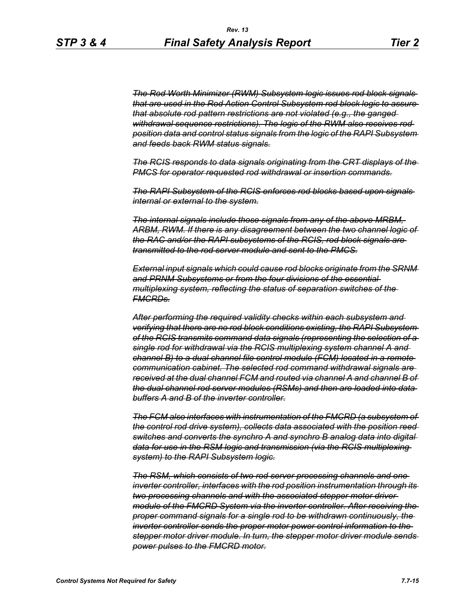*The Rod Worth Minimizer (RWM) Subsystem logic issues rod block signals that are used in the Rod Action Control Subsystem rod block logic to assure that absolute rod pattern restrictions are not violated (e.g., the ganged withdrawal sequence restrictions). The logic of the RWM also receives rod position data and control status signals from the logic of the RAPI Subsystem and feeds back RWM status signals.*

*The RCIS responds to data signals originating from the CRT displays of the PMCS for operator requested rod withdrawal or insertion commands.*

*The RAPI Subsystem of the RCIS enforces rod blocks based upon signals internal or external to the system.*

*The internal signals include those signals from any of the above MRBM, ARBM, RWM. If there is any disagreement between the two channel logic of the RAC and/or the RAPI subsystems of the RCIS, rod block signals are transmitted to the rod server module and sent to the PMCS.*

*External input signals which could cause rod blocks originate from the SRNM and PRNM Subsystems or from the four divisions of the essential multiplexing system, reflecting the status of separation switches of the FMCRDs.*

*After performing the required validity checks within each subsystem and verifying that there are no rod block conditions existing, the RAPI Subsystem of the RCIS transmits command data signals (representing the selection of a single rod for withdrawal via the RCIS multiplexing system channel A and channel B) to a dual channel file control module (FCM) located in a remote communication cabinet. The selected rod command withdrawal signals are received at the dual channel FCM and routed via channel A and channel B of the dual channel rod server modules (RSMs) and then are loaded into data buffers A and B of the inverter controller.*

*The FCM also interfaces with instrumentation of the FMCRD (a subsystem of the control rod drive system), collects data associated with the position reed switches and converts the synchro A and synchro B analog data into digital data for use in the RSM logic and transmission (via the RCIS multiplexing system) to the RAPI Subsystem logic.*

*The RSM, which consists of two rod server processing channels and one inverter controller, interfaces with the rod position instrumentation through its two processing channels and with the associated stepper motor driver module of the FMCRD System via the inverter controller. After receiving the proper command signals for a single rod to be withdrawn continuously, the inverter controller sends the proper motor power control information to the stepper motor driver module. In turn, the stepper motor driver module sends power pulses to the FMCRD motor.*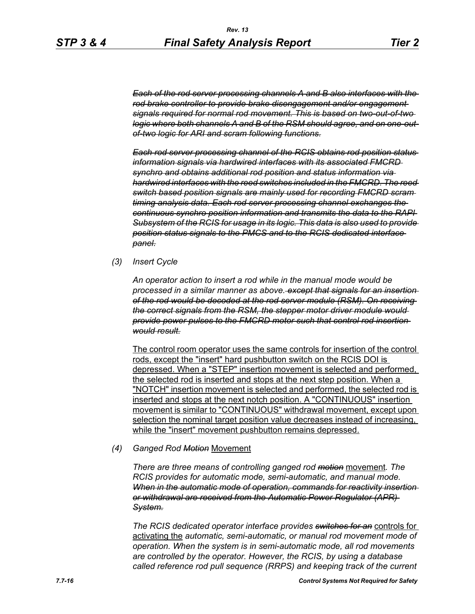*Each of the rod server processing channels A and B also interfaces with the rod brake controller to provide brake disengagement and/or engagement signals required for normal rod movement. This is based on two-out-of-two logic where both channels A and B of the RSM should agree, and on one-outof-two logic for ARI and scram following functions.*

*Each rod server processing channel of the RCIS obtains rod position status information signals via hardwired interfaces with its associated FMCRD synchro and obtains additional rod position and status information via hardwired interfaces with the reed switches included in the FMCRD. The reed switch based position signals are mainly used for recording FMCRD scram timing analysis data. Each rod server processing channel exchanges the continuous synchro position information and transmits the data to the RAPI Subsystem of the RCIS for usage in its logic. This data is also used to provide position status signals to the PMCS and to the RCIS dedicated interface panel.*

*(3) Insert Cycle*

*An operator action to insert a rod while in the manual mode would be processed in a similar manner as above. except that signals for an insertion of the rod would be decoded at the rod server module (RSM). On receiving the correct signals from the RSM, the stepper motor driver module would provide power pulses to the FMCRD motor such that control rod insertion would result.*

The control room operator uses the same controls for insertion of the control rods, except the "insert" hard pushbutton switch on the RCIS DOI is depressed. When a "STEP" insertion movement is selected and performed, the selected rod is inserted and stops at the next step position. When a "NOTCH" insertion movement is selected and performed, the selected rod is inserted and stops at the next notch position. A "CONTINUOUS" insertion movement is similar to "CONTINUOUS" withdrawal movement, except upon selection the nominal target position value decreases instead of increasing, while the "insert" movement pushbutton remains depressed.

#### *(4) Ganged Rod Motion* Movement

*There are three means of controlling ganged rod motion* movement*. The RCIS provides for automatic mode, semi-automatic, and manual mode. When in the automatic mode of operation, commands for reactivity insertion or withdrawal are received from the Automatic Power Regulator (APR) System.*

*The RCIS dedicated operator interface provides switches for an* controls for activating the *automatic, semi-automatic, or manual rod movement mode of operation. When the system is in semi-automatic mode, all rod movements are controlled by the operator. However, the RCIS, by using a database called reference rod pull sequence (RRPS) and keeping track of the current*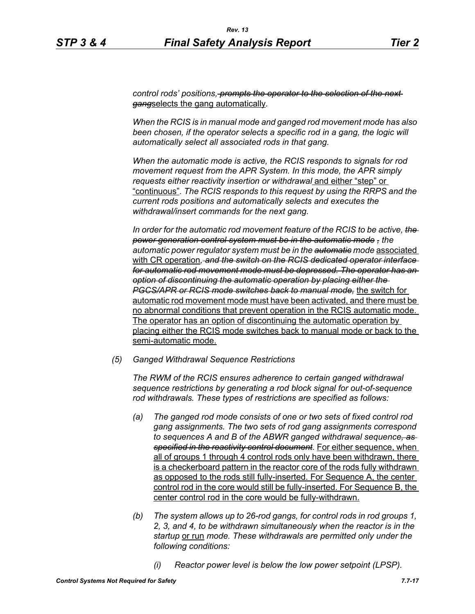*control rods' positions, prompts the operator to the selection of the next gang*selects the gang automatically*.*

*When the RCIS is in manual mode and ganged rod movement mode has also*  been chosen, if the operator selects a specific rod in a gang, the logic will *automatically select all associated rods in that gang.*

*When the automatic mode is active, the RCIS responds to signals for rod movement request from the APR System. In this mode, the APR simply requests either reactivity insertion or withdrawal* and either "step" or "continuous"*. The RCIS responds to this request by using the RRPS and the current rods positions and automatically selects and executes the withdrawal/insert commands for the next gang.*

*In order for the automatic rod movement feature of the RCIS to be active, the power generation control system must be in the automatic mode , the automatic power regulator system must be in the automatic mode* associated with CR operation*, and the switch on the RCIS dedicated operator interface for automatic rod movement mode must be depressed. The operator has an option of discontinuing the automatic operation by placing either the PGCS/APR or RCIS mode switches back to manual mode,* the switch for automatic rod movement mode must have been activated, and there must be no abnormal conditions that prevent operation in the RCIS automatic mode. The operator has an option of discontinuing the automatic operation by placing either the RCIS mode switches back to manual mode or back to the semi-automatic mode.

*(5) Ganged Withdrawal Sequence Restrictions*

*The RWM of the RCIS ensures adherence to certain ganged withdrawal sequence restrictions by generating a rod block signal for out-of-sequence rod withdrawals. These types of restrictions are specified as follows:*

- *(a) The ganged rod mode consists of one or two sets of fixed control rod gang assignments. The two sets of rod gang assignments correspond to sequences A and B of the ABWR ganged withdrawal sequence, as specified in the reactivity control document.* For either sequence, when all of groups 1 through 4 control rods only have been withdrawn, there is a checkerboard pattern in the reactor core of the rods fully withdrawn as opposed to the rods still fully-inserted. For Sequence A, the center control rod in the core would still be fully-inserted. For Sequence B, the center control rod in the core would be fully-withdrawn.
- *(b) The system allows up to 26-rod gangs, for control rods in rod groups 1, 2, 3, and 4, to be withdrawn simultaneously when the reactor is in the startup* or run *mode. These withdrawals are permitted only under the following conditions:*
	- *(i) Reactor power level is below the low power setpoint (LPSP).*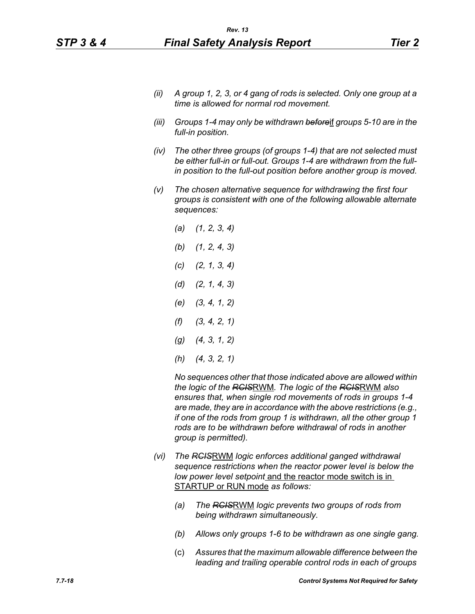- *(ii) A group 1, 2, 3, or 4 gang of rods is selected. Only one group at a time is allowed for normal rod movement.*
- *(iii) Groups 1-4 may only be withdrawn before*if *groups 5-10 are in the full-in position.*
- *(iv) The other three groups (of groups 1-4) that are not selected must be either full-in or full-out. Groups 1-4 are withdrawn from the fullin position to the full-out position before another group is moved.*
- *(v) The chosen alternative sequence for withdrawing the first four groups is consistent with one of the following allowable alternate sequences:*
	- *(a) (1, 2, 3, 4) (b) (1, 2, 4, 3) (c) (2, 1, 3, 4) (d) (2, 1, 4, 3) (e) (3, 4, 1, 2) (f) (3, 4, 2, 1) (g) (4, 3, 1, 2) (h) (4, 3, 2, 1)*

*No sequences other that those indicated above are allowed within the logic of the RCIS*RWM*. The logic of the RCIS*RWM *also ensures that, when single rod movements of rods in groups 1-4 are made, they are in accordance with the above restrictions (e.g., if one of the rods from group 1 is withdrawn, all the other group 1 rods are to be withdrawn before withdrawal of rods in another group is permitted).*

- *(vi) The RCIS*RWM *logic enforces additional ganged withdrawal sequence restrictions when the reactor power level is below the low power level setpoint* and the reactor mode switch is in STARTUP or RUN mode *as follows:*
	- *(a) The RCIS*RWM *logic prevents two groups of rods from being withdrawn simultaneously.*
	- *(b) Allows only groups 1-6 to be withdrawn as one single gang.*
	- (c) *Assures that the maximum allowable difference between the leading and trailing operable control rods in each of groups*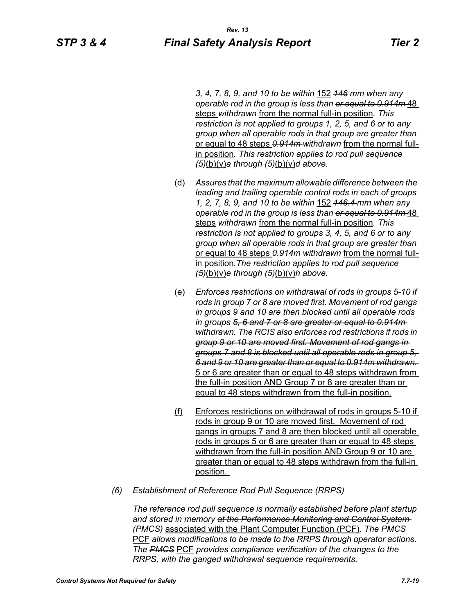*3, 4, 7, 8, 9, and 10 to be within* 152 *146 mm when any operable rod in the group is less than or equal to 0.914m* 48 steps *withdrawn* from the normal full-in position*. This restriction is not applied to groups 1, 2, 5, and 6 or to any group when all operable rods in that group are greater than*  or equal to 48 steps *0.914m withdrawn* from the normal fullin position*. This restriction applies to rod pull sequence (5)*(b)(v)*a through (5)*(b)(v)*d above.*

- (d) *Assures that the maximum allowable difference between the leading and trailing operable control rods in each of groups 1, 2, 7, 8, 9, and 10 to be within* 152 *146.4 mm when any operable rod in the group is less than or equal to 0.914m* 48 steps *withdrawn* from the normal full-in position*. This restriction is not applied to groups 3, 4, 5, and 6 or to any group when all operable rods in that group are greater than*  or equal to 48 steps *0.914m withdrawn* from the normal fullin position*.The restriction applies to rod pull sequence (5)*(b)(v)*e through (5)*(b)(v)*h above.*
- (e) *Enforces restrictions on withdrawal of rods in groups 5-10 if rods in group 7 or 8 are moved first. Movement of rod gangs in groups 9 and 10 are then blocked until all operable rods in groups 5, 6 and 7 or 8 are greater or equal to 0.914m withdrawn. The RCIS also enforces rod restrictions if rods in group 9 or 10 are moved first. Movement of rod gangs in groups 7 and 8 is blocked until all operable rods in group 5, 6 and 9 or 10 are greater than or equal to 0.914m withdrawn.*  5 or 6 are greater than or equal to 48 steps withdrawn from the full-in position AND Group 7 or 8 are greater than or equal to 48 steps withdrawn from the full-in position.
- (f) Enforces restrictions on withdrawal of rods in groups 5-10 if rods in group 9 or 10 are moved first. Movement of rod gangs in groups 7 and 8 are then blocked until all operable rods in groups 5 or 6 are greater than or equal to 48 steps withdrawn from the full-in position AND Group 9 or 10 are greater than or equal to 48 steps withdrawn from the full-in position.
- *(6) Establishment of Reference Rod Pull Sequence (RRPS)*

*The reference rod pull sequence is normally established before plant startup and stored in memory at the Performance Monitoring and Control System (PMCS)* associated with the Plant Computer Function (PCF)*. The PMCS* PCF *allows modifications to be made to the RRPS through operator actions. The PMCS* PCF *provides compliance verification of the changes to the RRPS, with the ganged withdrawal sequence requirements.*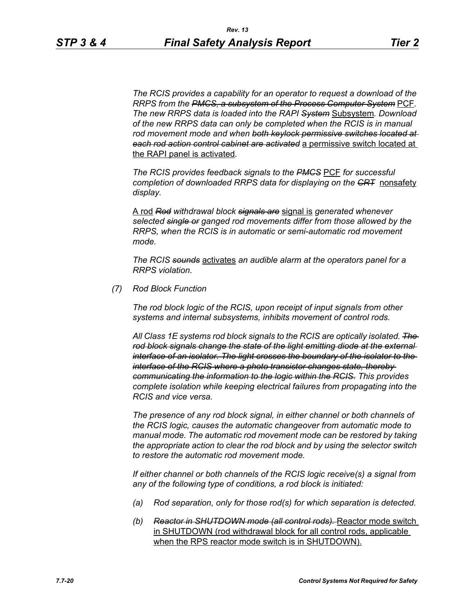*The RCIS provides a capability for an operator to request a download of the RRPS from the PMCS, a subsystem of the Process Computer System* PCF*. The new RRPS data is loaded into the RAPI System* Subsystem*. Download of the new RRPS data can only be completed when the RCIS is in manual rod movement mode and when both keylock permissive switches located at each rod action control cabinet are activated* a permissive switch located at the RAPI panel is activated*.*

*The RCIS provides feedback signals to the PMCS* PCF *for successful completion of downloaded RRPS data for displaying on the CRT* nonsafety *display.*

A rod *Rod withdrawal block signals are* signal is *generated whenever selected single or ganged rod movements differ from those allowed by the RRPS, when the RCIS is in automatic or semi-automatic rod movement mode.*

*The RCIS sounds* activates *an audible alarm at the operators panel for a RRPS violation.*

*(7) Rod Block Function*

*The rod block logic of the RCIS, upon receipt of input signals from other systems and internal subsystems, inhibits movement of control rods.*

*All Class 1E systems rod block signals to the RCIS are optically isolated. The rod block signals change the state of the light emitting diode at the external interface of an isolator. The light crosses the boundary of the isolator to the interface of the RCIS where a photo transistor changes state, thereby communicating the information to the logic within the RCIS. This provides complete isolation while keeping electrical failures from propagating into the RCIS and vice versa.*

*The presence of any rod block signal, in either channel or both channels of the RCIS logic, causes the automatic changeover from automatic mode to manual mode. The automatic rod movement mode can be restored by taking the appropriate action to clear the rod block and by using the selector switch to restore the automatic rod movement mode.*

*If either channel or both channels of the RCIS logic receive(s) a signal from any of the following type of conditions, a rod block is initiated:*

- *(a) Rod separation, only for those rod(s) for which separation is detected.*
- *(b) Reactor in SHUTDOWN mode (all control rods).* Reactor mode switch in SHUTDOWN (rod withdrawal block for all control rods, applicable when the RPS reactor mode switch is in SHUTDOWN).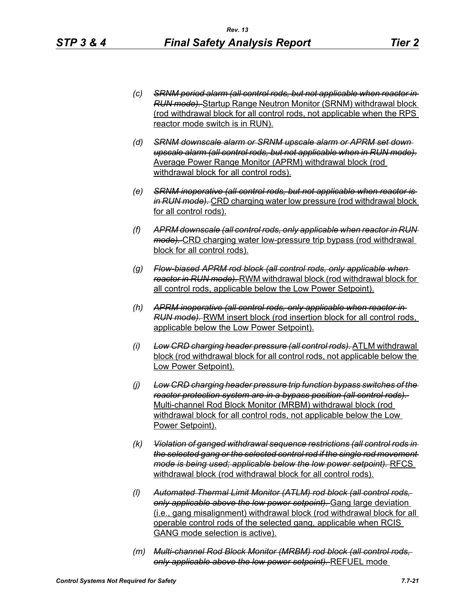- *(c) SRNM period alarm (all control rods, but not applicable when reactor in RUN mode).* Startup Range Neutron Monitor (SRNM) withdrawal block (rod withdrawal block for all control rods, not applicable when the RPS reactor mode switch is in RUN).
- *(d) SRNM downscale alarm or SRNM upscale alarm or APRM set down upscale alarm (all control rods, but not applicable when in RUN mode).* Average Power Range Monitor (APRM) withdrawal block (rod withdrawal block for all control rods).
- *(e) SRNM inoperative (all control rods, but not applicable when reactor is in RUN mode).* CRD charging water low pressure (rod withdrawal block for all control rods).
- *(f) APRM downscale (all control rods, only applicable when reactor in RUN mode).* CRD charging water low-pressure trip bypass (rod withdrawal block for all control rods).
- *(g) Flow-biased APRM rod block (all control rods, only applicable when reactor in RUN mode).* RWM withdrawal block (rod withdrawal block for all control rods, applicable below the Low Power Setpoint).
- *(h) APRM inoperative (all control rods, only applicable when reactor in RUN mode).* RWM insert block (rod insertion block for all control rods, applicable below the Low Power Setpoint).
- *(i) Low CRD charging header pressure (all control rods).* ATLM withdrawal block (rod withdrawal block for all control rods, not applicable below the Low Power Setpoint).
- *(j) Low CRD charging header pressure trip function bypass switches of the reactor protection system are in a bypass position (all control rods).*  Multi-channel Rod Block Monitor (MRBM) withdrawal block (rod withdrawal block for all control rods, not applicable below the Low Power Setpoint).
- *(k) Violation of ganged withdrawal sequence restrictions (all control rods in the selected gang or the selected control rod if the single rod movement mode is being used; applicable below the low power setpoint).* RFCS withdrawal block (rod withdrawal block for all control rods).
- *(l) Automated Thermal Limit Monitor (ATLM) rod block (all control rods, only applicable above the low power setpoint).* Gang large deviation (i.e., gang misalignment) withdrawal block (rod withdrawal block for all operable control rods of the selected gang, applicable when RCIS GANG mode selection is active).
- *(m) Multi-channel Rod Block Monitor (MRBM) rod block (all control rods, only applicable above the low power setpoint).* REFUEL mode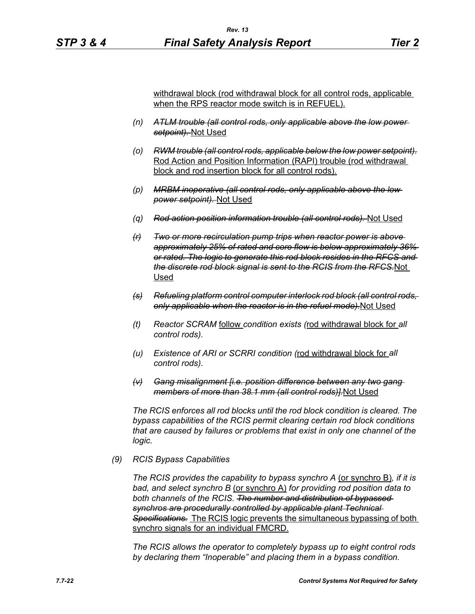withdrawal block (rod withdrawal block for all control rods, applicable when the RPS reactor mode switch is in REFUEL).

- *(n) ATLM trouble (all control rods, only applicable above the low power setpoint).* Not Used
- *(o) RWM trouble (all control rods, applicable below the low power setpoint).* Rod Action and Position Information (RAPI) trouble (rod withdrawal block and rod insertion block for all control rods).
- *(p) MRBM inoperative (all control rods, only applicable above the low power setpoint).* Not Used
- *(q) Rod action position information trouble (all control rods).* Not Used
- *(r) Two or more recirculation pump trips when reactor power is above approximately 25% of rated and core flow is below approximately 36% or rated. The logic to generate this rod block resides in the RFCS and the discrete rod block signal is sent to the RCIS from the RFCS.*Not Used
- *(s) Refueling platform control computer interlock rod block (all control rods, only applicable when the reactor is in the refuel mode).*Not Used
- *(t) Reactor SCRAM* follow *condition exists (*rod withdrawal block for *all control rods).*
- *(u) Existence of ARI or SCRRI condition (*rod withdrawal block for *all control rods).*
- *(v) Gang misalignment [i.e. position difference between any two gang members of more than 38.1 mm (all control rods)].*Not Used

*The RCIS enforces all rod blocks until the rod block condition is cleared. The bypass capabilities of the RCIS permit clearing certain rod block conditions that are caused by failures or problems that exist in only one channel of the logic.*

#### *(9) RCIS Bypass Capabilities*

*The RCIS provides the capability to bypass synchro A* (or synchro B)*, if it is bad, and select synchro B* (or synchro A) *for providing rod position data to both channels of the RCIS. The number and distribution of bypassed synchros are procedurally controlled by applicable plant Technical Specifications.* The RCIS logic prevents the simultaneous bypassing of both synchro signals for an individual FMCRD.

*The RCIS allows the operator to completely bypass up to eight control rods by declaring them "Inoperable" and placing them in a bypass condition.*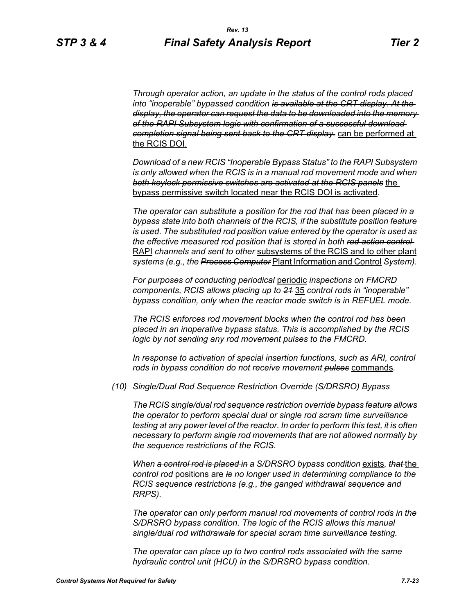*Through operator action, an update in the status of the control rods placed into "inoperable" bypassed condition is available at the CRT display. At the display, the operator can request the data to be downloaded into the memory of the RAPI Subsystem logic with confirmation of a successful download completion signal being sent back to the CRT display.* can be performed at the RCIS DOI.

*Download of a new RCIS "Inoperable Bypass Status" to the RAPI Subsystem is only allowed when the RCIS is in a manual rod movement mode and when both keylock permissive switches are activated at the RCIS panels* the bypass permissive switch located near the RCIS DOI is activated*.*

*The operator can substitute a position for the rod that has been placed in a bypass state into both channels of the RCIS, if the substitute position feature is used. The substituted rod position value entered by the operator is used as the effective measured rod position that is stored in both rod action control*  RAPI *channels and sent to other* subsystems of the RCIS and to other plant *systems (e.g., the Process Computer* Plant Information and Control *System).*

*For purposes of conducting periodical* periodic *inspections on FMCRD components, RCIS allows placing up to 21* 35 *control rods in "inoperable" bypass condition, only when the reactor mode switch is in REFUEL mode.*

*The RCIS enforces rod movement blocks when the control rod has been placed in an inoperative bypass status. This is accomplished by the RCIS logic by not sending any rod movement pulses to the FMCRD.*

*In response to activation of special insertion functions, such as ARI, control rods in bypass condition do not receive movement pulses* commands*.*

*(10) Single/Dual Rod Sequence Restriction Override (S/DRSRO) Bypass*

*The RCIS single/dual rod sequence restriction override bypass feature allows the operator to perform special dual or single rod scram time surveillance testing at any power level of the reactor. In order to perform this test, it is often necessary to perform single rod movements that are not allowed normally by the sequence restrictions of the RCIS.*

*When a control rod is placed in a S/DRSRO bypass condition* exists*, that* the *control rod* positions are *is no longer used in determining compliance to the RCIS sequence restrictions (e.g., the ganged withdrawal sequence and RRPS).*

*The operator can only perform manual rod movements of control rods in the S/DRSRO bypass condition. The logic of the RCIS allows this manual single/dual rod withdrawals for special scram time surveillance testing.*

*The operator can place up to two control rods associated with the same hydraulic control unit (HCU) in the S/DRSRO bypass condition.*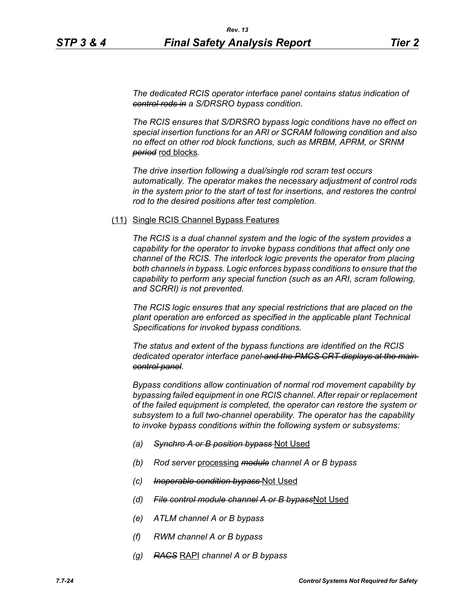*The dedicated RCIS operator interface panel contains status indication of control rods in a S/DRSRO bypass condition.*

*The RCIS ensures that S/DRSRO bypass logic conditions have no effect on special insertion functions for an ARI or SCRAM following condition and also no effect on other rod block functions, such as MRBM, APRM, or SRNM period* rod blocks*.*

*The drive insertion following a dual/single rod scram test occurs automatically. The operator makes the necessary adjustment of control rods in the system prior to the start of test for insertions, and restores the control rod to the desired positions after test completion.*

#### (11) Single RCIS Channel Bypass Features

*The RCIS is a dual channel system and the logic of the system provides a capability for the operator to invoke bypass conditions that affect only one channel of the RCIS. The interlock logic prevents the operator from placing both channels in bypass. Logic enforces bypass conditions to ensure that the capability to perform any special function (such as an ARI, scram following, and SCRRI) is not prevented.*

*The RCIS logic ensures that any special restrictions that are placed on the plant operation are enforced as specified in the applicable plant Technical Specifications for invoked bypass conditions.*

*The status and extent of the bypass functions are identified on the RCIS dedicated operator interface panel and the PMCS CRT displays at the main control panel.*

*Bypass conditions allow continuation of normal rod movement capability by bypassing failed equipment in one RCIS channel. After repair or replacement of the failed equipment is completed, the operator can restore the system or subsystem to a full two-channel operability. The operator has the capability to invoke bypass conditions within the following system or subsystems:*

- *(a) Synchro A or B position bypass* Not Used
- *(b) Rod server* processing *module channel A or B bypass*
- *(c) Inoperable condition bypass* Not Used
- *(d) File control module channel A or B bypass*Not Used
- *(e) ATLM channel A or B bypass*
- *(f) RWM channel A or B bypass*
- *(g) RACS* RAPI *channel A or B bypass*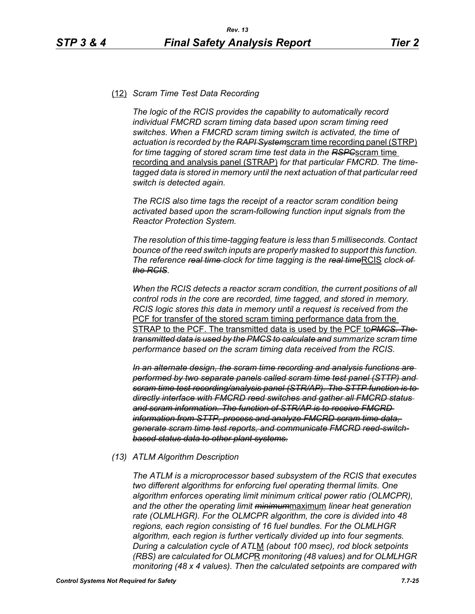#### (12) *Scram Time Test Data Recording*

*The logic of the RCIS provides the capability to automatically record individual FMCRD scram timing data based upon scram timing reed switches. When a FMCRD scram timing switch is activated, the time of actuation is recorded by the RAPI System*scram time recording panel (STRP) *for time tagging of stored scram time test data in the RSPC*scram time recording and analysis panel (STRAP) *for that particular FMCRD. The timetagged data is stored in memory until the next actuation of that particular reed switch is detected again.*

*The RCIS also time tags the receipt of a reactor scram condition being activated based upon the scram-following function input signals from the Reactor Protection System.*

*The resolution of this time-tagging feature is less than 5 milliseconds. Contact bounce of the reed switch inputs are properly masked to support this function. The reference <del>real time</del> clock for time tagging is the real timeRCIS clock of the RCIS.*

*When the RCIS detects a reactor scram condition, the current positions of all control rods in the core are recorded, time tagged, and stored in memory. RCIS logic stores this data in memory until a request is received from the*  PCF for transfer of the stored scram timing performance data from the STRAP to the PCF. The transmitted data is used by the PCF to*PMCS. The transmitted data is used by the PMCS to calculate and summarize scram time performance based on the scram timing data received from the RCIS.*

*In an alternate design, the scram time recording and analysis functions are performed by two separate panels called scram time test panel (STTP) and scram time test recording/analysis panel (STR/AP). The STTP function is to directly interface with FMCRD reed switches and gather all FMCRD status and scram information. The function of STR/AP is to receive FMCRD information from STTP, process and analyze FMCRD scram time data, generate scram time test reports, and communicate FMCRD reed-switchbased status data to other plant systems.*

#### *(13) ATLM Algorithm Description*

*The ATLM is a microprocessor based subsystem of the RCIS that executes two different algorithms for enforcing fuel operating thermal limits. One algorithm enforces operating limit minimum critical power ratio (OLMCPR), and the other the operating limit minimum*maximum *linear heat generation rate (OLMLHGR). For the OLMCPR algorithm, the core is divided into 48 regions, each region consisting of 16 fuel bundles. For the OLMLHGR algorithm, each region is further vertically divided up into four segments. During a calculation cycle of ATL*M *(about 100 msec), rod block setpoints (RBS) are calculated for OLMCP*R *monitoring (48 values) and for OLMLHGR monitoring (48 x 4 values). Then the calculated setpoints are compared with*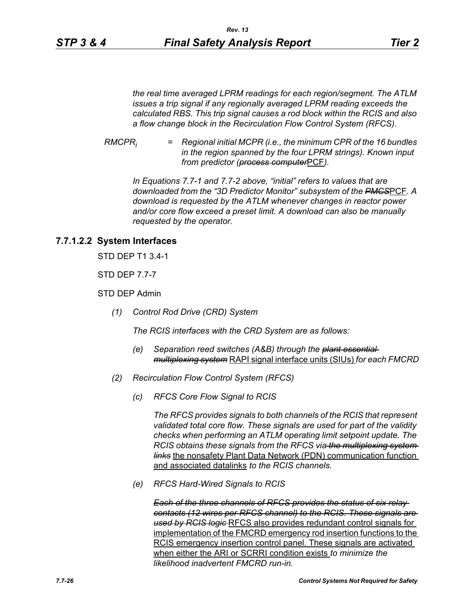*the real time averaged LPRM readings for each region/segment. The ATLM issues a trip signal if any regionally averaged LPRM reading exceeds the calculated RBS. This trip signal causes a rod block within the RCIS and also a flow change block in the Recirculation Flow Control System (RFCS).*

*RMCPRi = Regional initial MCPR (i.e., the minimum CPR of the 16 bundles in the region spanned by the four LPRM strings). Known input from predictor (process computer*PCF*).*

*In Equations 7.7-1 and 7.7-2 above, "initial" refers to values that are downloaded from the "3D Predictor Monitor" subsystem of the PMCS*PCF*. A download is requested by the ATLM whenever changes in reactor power and/or core flow exceed a preset limit. A download can also be manually requested by the operator.*

# **7.7.1.2.2 System Interfaces**

STD DEP T1 3.4-1

STD DEP 7.7-7

STD DEP Admin

*(1) Control Rod Drive (CRD) System*

*The RCIS interfaces with the CRD System are as follows:*

- *(e) Separation reed switches (A&B) through the plant essential multiplexing system* RAPI signal interface units (SIUs) *for each FMCRD*
- *(2) Recirculation Flow Control System (RFCS)*
	- *(c) RFCS Core Flow Signal to RCIS*

*The RFCS provides signals to both channels of the RCIS that represent validated total core flow. These signals are used for part of the validity checks when performing an ATLM operating limit setpoint update. The RCIS obtains these signals from the RFCS via the multiplexing system links* the nonsafety Plant Data Network (PDN) communication function and associated datalinks *to the RCIS channels.*

*(e) RFCS Hard-Wired Signals to RCIS*

*Each of the three channels of RFCS provides the status of six relay contacts (12 wires per RFCS channel) to the RCIS. These signals are used by RCIS logic* RFCS also provides redundant control signals for implementation of the FMCRD emergency rod insertion functions to the RCIS emergency insertion control panel. These signals are activated when either the ARI or SCRRI condition exists *to minimize the likelihood inadvertent FMCRD run-in.*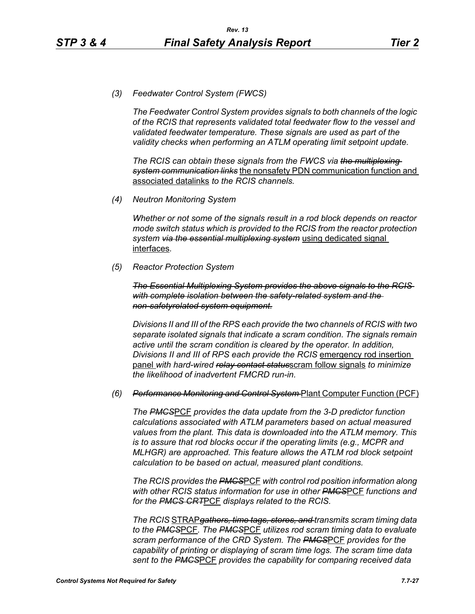*(3) Feedwater Control System (FWCS)*

*The Feedwater Control System provides signals to both channels of the logic of the RCIS that represents validated total feedwater flow to the vessel and validated feedwater temperature. These signals are used as part of the validity checks when performing an ATLM operating limit setpoint update.*

*The RCIS can obtain these signals from the FWCS via the multiplexing system communication links* the nonsafety PDN communication function and associated datalinks *to the RCIS channels.*

*(4) Neutron Monitoring System*

*Whether or not some of the signals result in a rod block depends on reactor mode switch status which is provided to the RCIS from the reactor protection system via the essential multiplexing system* using dedicated signal interfaces*.*

*(5) Reactor Protection System*

*The Essential Multiplexing System provides the above signals to the RCIS with complete isolation between the safety-related system and the non-safetyrelated system equipment.*

*Divisions II and III of the RPS each provide the two channels of RCIS with two separate isolated signals that indicate a scram condition. The signals remain active until the scram condition is cleared by the operator. In addition, Divisions II and III of RPS each provide the RCIS* emergency rod insertion panel *with hard-wired relay contact status*scram follow signals *to minimize the likelihood of inadvertent FMCRD run-in.*

#### *(6) Performance Monitoring and Control System* Plant Computer Function (PCF)

*The PMCS*PCF *provides the data update from the 3-D predictor function calculations associated with ATLM parameters based on actual measured values from the plant. This data is downloaded into the ATLM memory. This is to assure that rod blocks occur if the operating limits (e.g., MCPR and MLHGR) are approached. This feature allows the ATLM rod block setpoint calculation to be based on actual, measured plant conditions.*

*The RCIS provides the PMCS*PCF *with control rod position information along with other RCIS status information for use in other PMCS*PCF *functions and for the PMCS CRT*PCF *displays related to the RCIS.*

*The RCIS* STRAP*gathers, time tags, stores, and transmits scram timing data to the PMCS*PCF*. The PMCS*PCF *utilizes rod scram timing data to evaluate scram performance of the CRD System. The PMCS*PCF *provides for the capability of printing or displaying of scram time logs. The scram time data sent to the PMCS*PCF *provides the capability for comparing received data*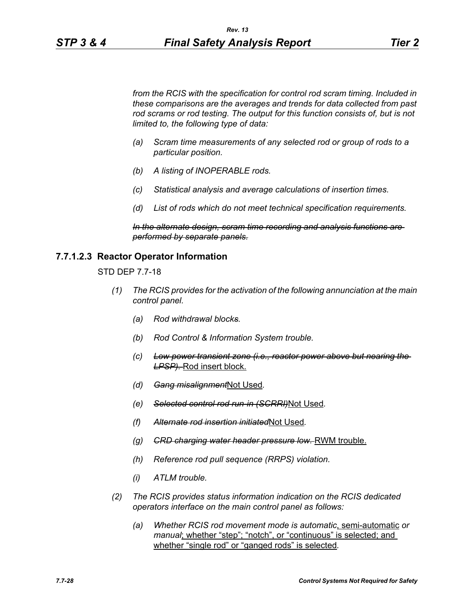*from the RCIS with the specification for control rod scram timing. Included in these comparisons are the averages and trends for data collected from past*  rod scrams or rod testing. The output for this function consists of, but is not *limited to, the following type of data:*

- *(a) Scram time measurements of any selected rod or group of rods to a particular position.*
- *(b) A listing of INOPERABLE rods.*
- *(c) Statistical analysis and average calculations of insertion times.*
- *(d) List of rods which do not meet technical specification requirements.*

*In the alternate design, scram time recording and analysis functions are performed by separate panels.*

#### **7.7.1.2.3 Reactor Operator Information**

STD DEP 7.7-18

- *(1) The RCIS provides for the activation of the following annunciation at the main control panel.*
	- *(a) Rod withdrawal blocks.*
	- *(b) Rod Control & Information System trouble.*
	- *(c) Low power transient zone (i.e., reactor power above but nearing the LPSP).* Rod insert block.
	- *(d) Gang misalignment*Not Used*.*
	- *(e) Selected control rod run-in (SCRRI)*Not Used*.*
	- *(f) Alternate rod insertion initiated*Not Used*.*
	- *(g) CRD charging water header pressure low.* RWM trouble.
	- *(h) Reference rod pull sequence (RRPS) violation.*
	- *(i) ATLM trouble.*
- *(2) The RCIS provides status information indication on the RCIS dedicated operators interface on the main control panel as follows:*
	- *(a) Whether RCIS rod movement mode is automatic*, semi-automatic *or manual*; whether "step"; "notch", or "continuous" is selected; and whether "single rod" or "ganged rods" is selected*.*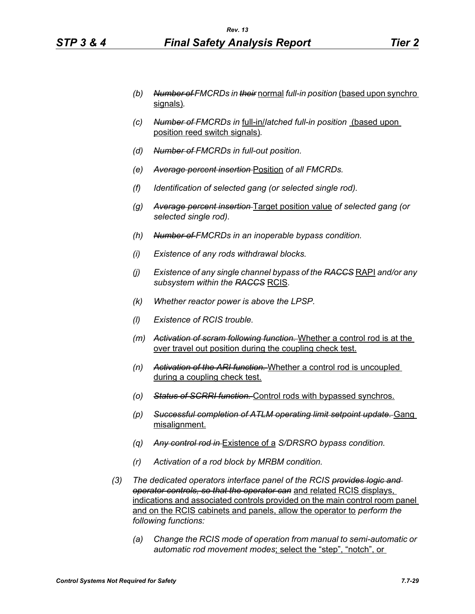- *(b) Number of FMCRDs in their* normal *full-in position* (based upon synchro signals)*.*
- *(c) Number of FMCRDs in* full-in/*latched full-in position* (based upon position reed switch signals)*.*
- *(d) Number of FMCRDs in full-out position.*
- *(e) Average percent insertion* Position *of all FMCRDs.*
- *(f) Identification of selected gang (or selected single rod).*
- *(g) Average percent insertion* Target position value *of selected gang (or selected single rod).*
- *(h) Number of FMCRDs in an inoperable bypass condition.*
- *(i) Existence of any rods withdrawal blocks.*
- *(j) Existence of any single channel bypass of the RACCS* RAPI *and/or any subsystem within the RACCS* RCIS*.*
- *(k) Whether reactor power is above the LPSP.*
- *(l) Existence of RCIS trouble.*
- *(m) Activation of scram following function.* Whether a control rod is at the over travel out position during the coupling check test.
- *(n) Activation of the ARI function.* Whether a control rod is uncoupled during a coupling check test.
- *(o) Status of SCRRI function.* Control rods with bypassed synchros.
- *(p) Successful completion of ATLM operating limit setpoint update.* Gang misalignment.
- *(q) Any control rod in* Existence of a *S/DRSRO bypass condition.*
- *(r) Activation of a rod block by MRBM condition.*
- *(3) The dedicated operators interface panel of the RCIS provides logic and operator controls, so that the operator can* and related RCIS displays, indications and associated controls provided on the main control room panel and on the RCIS cabinets and panels, allow the operator to *perform the following functions:*
	- *(a) Change the RCIS mode of operation from manual to semi-automatic or automatic rod movement modes*; select the "step", "notch", or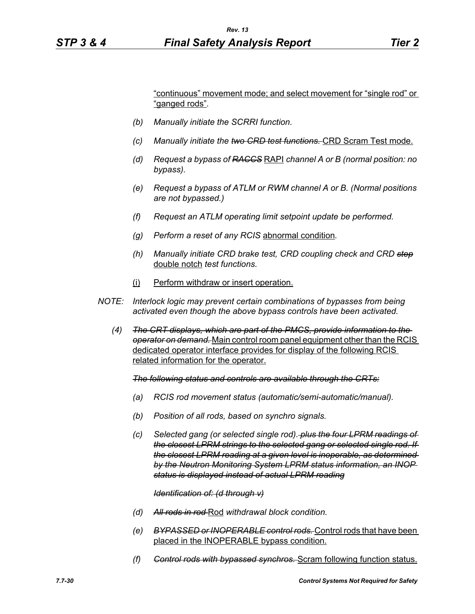"continuous" movement mode; and select movement for "single rod" or "ganged rods"*.*

- *(b) Manually initiate the SCRRI function.*
- *(c) Manually initiate the two CRD test functions.* CRD Scram Test mode.
- *(d) Request a bypass of RACCS* RAPI *channel A or B (normal position: no bypass).*
- *(e) Request a bypass of ATLM or RWM channel A or B. (Normal positions are not bypassed.)*
- *(f) Request an ATLM operating limit setpoint update be performed.*
- *(g) Perform a reset of any RCIS* abnormal condition*.*
- *(h) Manually initiate CRD brake test, CRD coupling check and CRD step* double notch *test functions.*
- (i) Perform withdraw or insert operation.
- *NOTE: Interlock logic may prevent certain combinations of bypasses from being activated even though the above bypass controls have been activated.*
	- *(4) The CRT displays, which are part of the PMCS, provide information to the operator on demand.* Main control room panel equipment other than the RCIS dedicated operator interface provides for display of the following RCIS related information for the operator.

*The following status and controls are available through the CRTs:*

- *(a) RCIS rod movement status (automatic/semi-automatic/manual).*
- *(b) Position of all rods, based on synchro signals.*
- *(c) Selected gang (or selected single rod). plus the four LPRM readings of the closest LPRM strings to the selected gang or selected single rod. If the closest LPRM reading at a given level is inoperable, as determined by the Neutron Monitoring System LPRM status information, an INOP status is displayed instead of actual LPRM reading*

*Identification of: (d through v)*

- *(d) All rods in rod* Rod *withdrawal block condition.*
- *(e) BYPASSED or INOPERABLE control rods.* Control rods that have been placed in the INOPERABLE bypass condition.
- *(f) Control rods with bypassed synchros.* Scram following function status.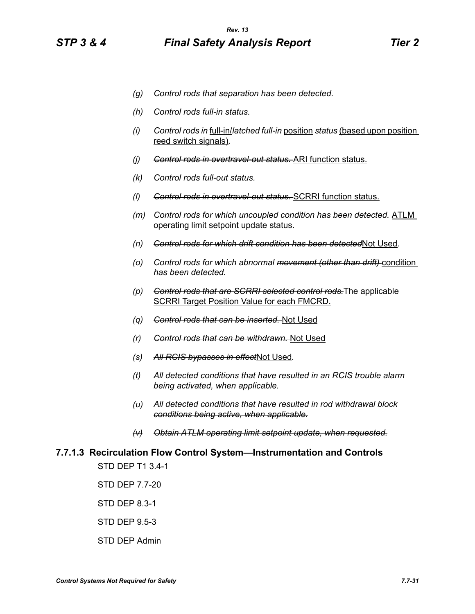- *(g) Control rods that separation has been detected.*
- *(h) Control rods full-in status.*
- *(i) Control rods in* full-in/*latched full-in* position *status* (based upon position reed switch signals)*.*
- *(j) Control rods in overtravel-out status.* ARI function status.
- *(k) Control rods full-out status.*
- *(l) Control rods in overtravel-out status.* SCRRI function status.
- *(m) Control rods for which uncoupled condition has been detected.* ATLM operating limit setpoint update status.
- *(n) Control rods for which drift condition has been detected*Not Used*.*
- *(o) Control rods for which abnormal movement (other than drift)* condition *has been detected.*
- *(p) Control rods that are SCRRI selected control rods.*The applicable SCRRI Target Position Value for each FMCRD.
- *(q) Control rods that can be inserted.* Not Used
- *(r) Control rods that can be withdrawn.* Not Used
- *(s) All RCIS bypasses in effect*Not Used*.*
- *(t) All detected conditions that have resulted in an RCIS trouble alarm being activated, when applicable.*
- *(u) All detected conditions that have resulted in rod withdrawal block conditions being active, when applicable.*
- *(v) Obtain ATLM operating limit setpoint update, when requested.*

# **7.7.1.3 Recirculation Flow Control System—Instrumentation and Controls**

STD DEP T1 3.4-1

STD DEP 7.7-20

STD DEP 8.3-1

STD DEP 9.5-3

STD DEP Admin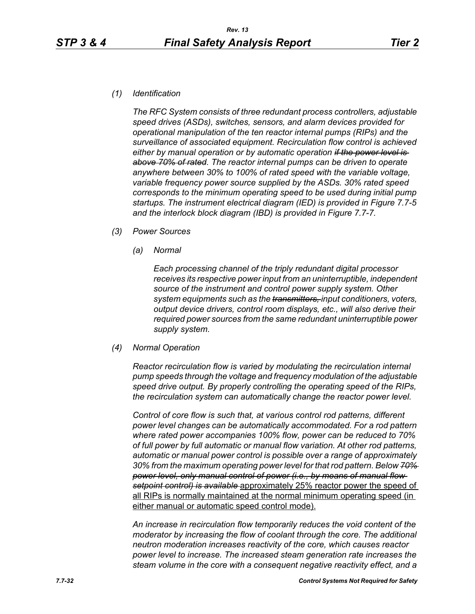*(1) Identification*

*The RFC System consists of three redundant process controllers, adjustable speed drives (ASDs), switches, sensors, and alarm devices provided for operational manipulation of the ten reactor internal pumps (RIPs) and the surveillance of associated equipment. Recirculation flow control is achieved either by manual operation or by automatic operation if the power level is above 70% of rated. The reactor internal pumps can be driven to operate anywhere between 30% to 100% of rated speed with the variable voltage, variable frequency power source supplied by the ASDs. 30% rated speed corresponds to the minimum operating speed to be used during initial pump startups. The instrument electrical diagram (IED) is provided in Figure 7.7-5 and the interlock block diagram (IBD) is provided in Figure 7.7-7.*

- *(3) Power Sources*
	- *(a) Normal*

*Each processing channel of the triply redundant digital processor receives its respective power input from an uninterruptible, independent source of the instrument and control power supply system. Other system equipments such as the transmitters, input conditioners, voters, output device drivers, control room displays, etc., will also derive their required power sources from the same redundant uninterruptible power supply system.*

*(4) Normal Operation*

*Reactor recirculation flow is varied by modulating the recirculation internal pump speeds through the voltage and frequency modulation of the adjustable speed drive output. By properly controlling the operating speed of the RIPs, the recirculation system can automatically change the reactor power level.*

*Control of core flow is such that, at various control rod patterns, different power level changes can be automatically accommodated. For a rod pattern where rated power accompanies 100% flow, power can be reduced to 70% of full power by full automatic or manual flow variation. At other rod patterns, automatic or manual power control is possible over a range of approximately 30% from the maximum operating power level for that rod pattern. Below 70% power level, only manual control of power (i.e., by means of manual flow setpoint control) is available* approximately 25% reactor power the speed of all RIPs is normally maintained at the normal minimum operating speed (in either manual or automatic speed control mode).

*An increase in recirculation flow temporarily reduces the void content of the moderator by increasing the flow of coolant through the core. The additional neutron moderation increases reactivity of the core, which causes reactor power level to increase. The increased steam generation rate increases the steam volume in the core with a consequent negative reactivity effect, and a*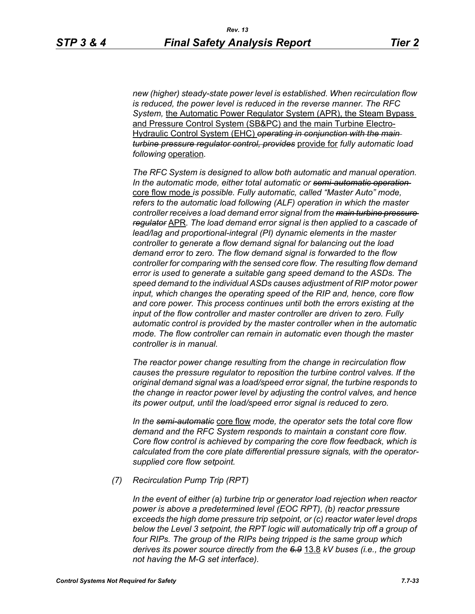*new (higher) steady-state power level is established. When recirculation flow is reduced, the power level is reduced in the reverse manner. The RFC System,* the Automatic Power Regulator System (APR), the Steam Bypass and Pressure Control System (SB&PC) and the main Turbine Electro-Hydraulic Control System (EHC) *operating in conjunction with the main turbine pressure regulator control, provides* provide for *fully automatic load following* operation*.* 

*The RFC System is designed to allow both automatic and manual operation. In the automatic mode, either total automatic or semi-automatic operation*  core flow mode *is possible. Fully automatic, called "Master Auto" mode, refers to the automatic load following (ALF) operation in which the master controller receives a load demand error signal from the main turbine pressure regulator* APR*. The load demand error signal is then applied to a cascade of lead/lag and proportional-integral (PI) dynamic elements in the master controller to generate a flow demand signal for balancing out the load demand error to zero. The flow demand signal is forwarded to the flow controller for comparing with the sensed core flow. The resulting flow demand error is used to generate a suitable gang speed demand to the ASDs. The speed demand to the individual ASDs causes adjustment of RIP motor power input, which changes the operating speed of the RIP and, hence, core flow and core power. This process continues until both the errors existing at the input of the flow controller and master controller are driven to zero. Fully automatic control is provided by the master controller when in the automatic mode. The flow controller can remain in automatic even though the master controller is in manual.*

*The reactor power change resulting from the change in recirculation flow causes the pressure regulator to reposition the turbine control valves. If the original demand signal was a load/speed error signal, the turbine responds to the change in reactor power level by adjusting the control valves, and hence its power output, until the load/speed error signal is reduced to zero.*

*In the semi-automatic* core flow *mode, the operator sets the total core flow demand and the RFC System responds to maintain a constant core flow. Core flow control is achieved by comparing the core flow feedback, which is calculated from the core plate differential pressure signals, with the operatorsupplied core flow setpoint.*

*(7) Recirculation Pump Trip (RPT)*

*In the event of either (a) turbine trip or generator load rejection when reactor power is above a predetermined level (EOC RPT), (b) reactor pressure exceeds the high dome pressure trip setpoint, or (c) reactor water level drops below the Level 3 setpoint, the RPT logic will automatically trip off a group of four RIPs. The group of the RIPs being tripped is the same group which derives its power source directly from the 6.9* 13.8 *kV buses (i.e., the group not having the M-G set interface).*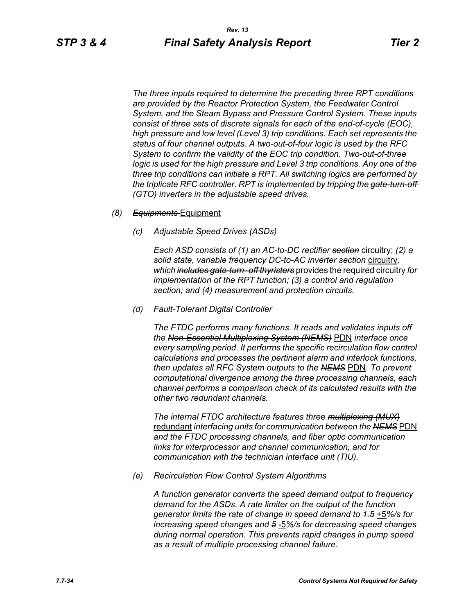*The three inputs required to determine the preceding three RPT conditions are provided by the Reactor Protection System, the Feedwater Control System, and the Steam Bypass and Pressure Control System. These inputs consist of three sets of discrete signals for each of the end-of-cycle (EOC), high pressure and low level (Level 3) trip conditions. Each set represents the status of four channel outputs. A two-out-of-four logic is used by the RFC System to confirm the validity of the EOC trip condition. Two-out-of-three logic is used for the high pressure and Level 3 trip conditions. Any one of the three trip conditions can initiate a RPT. All switching logics are performed by the triplicate RFC controller. RPT is implemented by tripping the gate-turn-off (GTO) inverters in the adjustable speed drives.*

#### *(8) Equipments* Equipment

*(c) Adjustable Speed Drives (ASDs)*

*Each ASD consists of (1) an AC-to-DC rectifier section* circuitry; *(2) a solid state, variable frequency DC-to-AC inverter section* circuitry*, which includes gate-turn- off thyristers* provides the required circuitry *for implementation of the RPT function; (3) a control and regulation section; and (4) measurement and protection circuits.*

*(d) Fault-Tolerant Digital Controller*

*The FTDC performs many functions. It reads and validates inputs off the Non-Essential Multiplexing System (NEMS)* PDN *interface once every sampling period. It performs the specific recirculation flow control calculations and processes the pertinent alarm and interlock functions, then updates all RFC System outputs to the NEMS* PDN*. To prevent computational divergence among the three processing channels, each channel performs a comparison check of its calculated results with the other two redundant channels.*

*The internal FTDC architecture features three multiplexing (MUX)* redundant *interfacing units for communication between the NEMS* PDN *and the FTDC processing channels, and fiber optic communication links for interprocessor and channel communication, and for communication with the technician interface unit (TIU).*

*(e) Recirculation Flow Control System Algorithms*

*A function generator converts the speed demand output to frequency demand for the ASDs. A rate limiter on the output of the function generator limits the rate of change in speed demand to 1.5* +5*%/s for increasing speed changes and 5* -5*%/s for decreasing speed changes during normal operation. This prevents rapid changes in pump speed as a result of multiple processing channel failure.*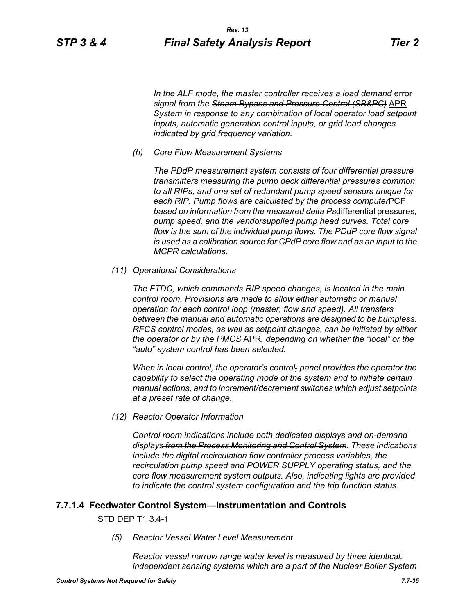In the ALF mode, the master controller receives a load demand error *signal from the Steam Bypass and Pressure Control (SB&PC)* APR *System in response to any combination of local operator load setpoint inputs, automatic generation control inputs, or grid load changes indicated by grid frequency variation.*

*(h) Core Flow Measurement Systems*

*The PDdP measurement system consists of four differential pressure transmitters measuring the pump deck differential pressures common to all RIPs, and one set of redundant pump speed sensors unique for each RIP. Pump flows are calculated by the process computer*PCF *based on information from the measured delta Ps*differential pressures*, pump speed, and the vendorsupplied pump head curves. Total core flow is the sum of the individual pump flows. The PDdP core flow signal is used as a calibration source for CPdP core flow and as an input to the MCPR calculations.*

*(11) Operational Considerations*

*The FTDC, which commands RIP speed changes, is located in the main control room. Provisions are made to allow either automatic or manual operation for each control loop (master, flow and speed). All transfers between the manual and automatic operations are designed to be bumpless. RFCS control modes, as well as setpoint changes, can be initiated by either the operator or by the PMCS* APR*, depending on whether the "local" or the "auto" system control has been selected.*

*When in local control, the operator's control, panel provides the operator the capability to select the operating mode of the system and to initiate certain manual actions, and to increment/decrement switches which adjust setpoints at a preset rate of change.*

*(12) Reactor Operator Information*

*Control room indications include both dedicated displays and on-demand displays from the Process Monitoring and Control System. These indications include the digital recirculation flow controller process variables, the recirculation pump speed and POWER SUPPLY operating status, and the core flow measurement system outputs. Also, indicating lights are provided to indicate the control system configuration and the trip function status.*

# **7.7.1.4 Feedwater Control System—Instrumentation and Controls**

#### STD DEP T1 3.4-1

*(5) Reactor Vessel Water Level Measurement* 

*Reactor vessel narrow range water level is measured by three identical, independent sensing systems which are a part of the Nuclear Boiler System*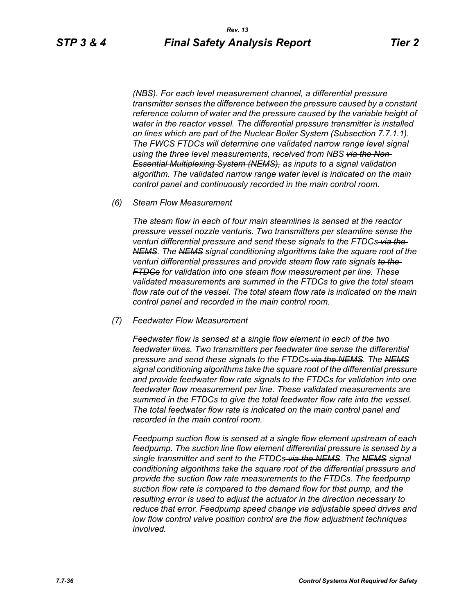*(NBS). For each level measurement channel, a differential pressure transmitter senses the difference between the pressure caused by a constant reference column of water and the pressure caused by the variable height of water in the reactor vessel. The differential pressure transmitter is installed on lines which are part of the Nuclear Boiler System (Subsection 7.7.1.1). The FWCS FTDCs will determine one validated narrow range level signal using the three level measurements, received from NBS via the Non-Essential Multiplexing System (NEMS), as inputs to a signal validation algorithm. The validated narrow range water level is indicated on the main control panel and continuously recorded in the main control room.*

*(6) Steam Flow Measurement*

*The steam flow in each of four main steamlines is sensed at the reactor pressure vessel nozzle venturis. Two transmitters per steamline sense the venturi differential pressure and send these signals to the FTDCs via the NEMS. The NEMS signal conditioning algorithms take the square root of the venturi differential pressures and provide steam flow rate signals to the FTDCs for validation into one steam flow measurement per line. These validated measurements are summed in the FTDCs to give the total steam flow rate out of the vessel. The total steam flow rate is indicated on the main control panel and recorded in the main control room.*

*(7) Feedwater Flow Measurement*

*Feedwater flow is sensed at a single flow element in each of the two feedwater lines. Two transmitters per feedwater line sense the differential pressure and send these signals to the FTDCs via the NEMS. The NEMS signal conditioning algorithms take the square root of the differential pressure and provide feedwater flow rate signals to the FTDCs for validation into one feedwater flow measurement per line. These validated measurements are summed in the FTDCs to give the total feedwater flow rate into the vessel. The total feedwater flow rate is indicated on the main control panel and recorded in the main control room.*

*Feedpump suction flow is sensed at a single flow element upstream of each feedpump. The suction line flow element differential pressure is sensed by a single transmitter and sent to the FTDCs via the NEMS. The NEMS signal conditioning algorithms take the square root of the differential pressure and provide the suction flow rate measurements to the FTDCs. The feedpump suction flow rate is compared to the demand flow for that pump, and the resulting error is used to adjust the actuator in the direction necessary to reduce that error. Feedpump speed change via adjustable speed drives and low flow control valve position control are the flow adjustment techniques involved.*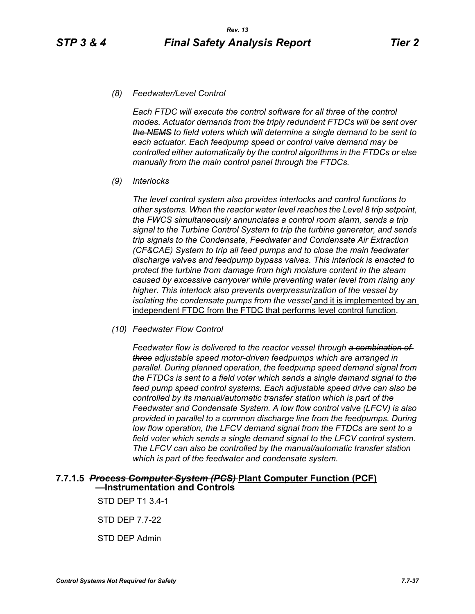#### *(8) Feedwater/Level Control*

*Each FTDC will execute the control software for all three of the control modes. Actuator demands from the triply redundant FTDCs will be sent over the NEMS to field voters which will determine a single demand to be sent to each actuator. Each feedpump speed or control valve demand may be controlled either automatically by the control algorithms in the FTDCs or else manually from the main control panel through the FTDCs.*

*(9) Interlocks*

*The level control system also provides interlocks and control functions to other systems. When the reactor water level reaches the Level 8 trip setpoint, the FWCS simultaneously annunciates a control room alarm, sends a trip signal to the Turbine Control System to trip the turbine generator, and sends trip signals to the Condensate, Feedwater and Condensate Air Extraction (CF&CAE) System to trip all feed pumps and to close the main feedwater discharge valves and feedpump bypass valves. This interlock is enacted to protect the turbine from damage from high moisture content in the steam caused by excessive carryover while preventing water level from rising any higher. This interlock also prevents overpressurization of the vessel by isolating the condensate pumps from the vessel* and it is implemented by an independent FTDC from the FTDC that performs level control function*.*

*(10) Feedwater Flow Control*

*Feedwater flow is delivered to the reactor vessel through a combination of three adjustable speed motor-driven feedpumps which are arranged in parallel. During planned operation, the feedpump speed demand signal from the FTDCs is sent to a field voter which sends a single demand signal to the feed pump speed control systems. Each adjustable speed drive can also be controlled by its manual/automatic transfer station which is part of the Feedwater and Condensate System. A low flow control valve (LFCV) is also provided in parallel to a common discharge line from the feedpumps. During low flow operation, the LFCV demand signal from the FTDCs are sent to a field voter which sends a single demand signal to the LFCV control system. The LFCV can also be controlled by the manual/automatic transfer station which is part of the feedwater and condensate system.*

# **7.7.1.5** *Process Computer System (PCS)* **Plant Computer Function (PCF) —Instrumentation and Controls**

STD DEP T1 3.4-1

STD DEP 7.7-22

STD DEP Admin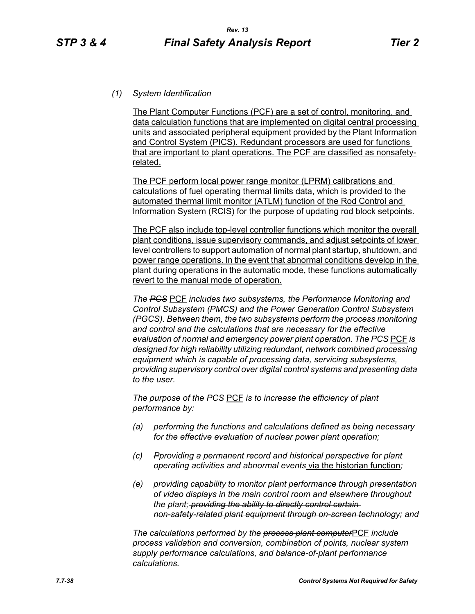#### *(1) System Identification*

The Plant Computer Functions (PCF) are a set of control, monitoring, and data calculation functions that are implemented on digital central processing units and associated peripheral equipment provided by the Plant Information and Control System (PICS). Redundant processors are used for functions that are important to plant operations. The PCF are classified as nonsafetyrelated.

The PCF perform local power range monitor (LPRM) calibrations and calculations of fuel operating thermal limits data, which is provided to the automated thermal limit monitor (ATLM) function of the Rod Control and Information System (RCIS) for the purpose of updating rod block setpoints.

The PCF also include top-level controller functions which monitor the overall plant conditions, issue supervisory commands, and adjust setpoints of lower level controllers to support automation of normal plant startup, shutdown, and power range operations. In the event that abnormal conditions develop in the plant during operations in the automatic mode, these functions automatically revert to the manual mode of operation.

*The PCS* PCF *includes two subsystems, the Performance Monitoring and Control Subsystem (PMCS) and the Power Generation Control Subsystem (PGCS). Between them, the two subsystems perform the process monitoring and control and the calculations that are necessary for the effective evaluation of normal and emergency power plant operation. The PCS* PCF *is designed for high reliability utilizing redundant, network combined processing equipment which is capable of processing data, servicing subsystems, providing supervisory control over digital control systems and presenting data to the user.*

*The purpose of the PCS* PCF *is to increase the efficiency of plant performance by:*

- *(a) performing the functions and calculations defined as being necessary for the effective evaluation of nuclear power plant operation;*
- *(c) Pproviding a permanent record and historical perspective for plant operating activities and abnormal events* via the historian function*;*
- *(e) providing capability to monitor plant performance through presentation of video displays in the main control room and elsewhere throughout the plant; providing the ability to directly control certain non-safety-related plant equipment through on-screen technology; and*

*The calculations performed by the process plant computer*PCF *include process validation and conversion, combination of points, nuclear system supply performance calculations, and balance-of-plant performance calculations.*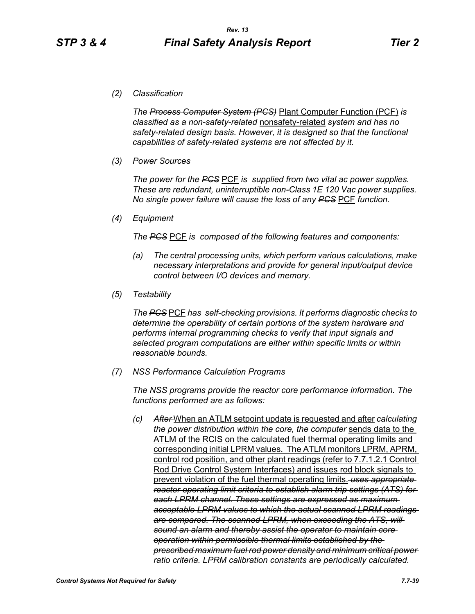*(2) Classification*

*The Process Computer System (PCS)* Plant Computer Function (PCF) *is classified as a non-safety-related* nonsafety-related *system and has no safety-related design basis. However, it is designed so that the functional capabilities of safety-related systems are not affected by it.*

*(3) Power Sources*

*The power for the PCS* PCF *is supplied from two vital ac power supplies. These are redundant, uninterruptible non-Class 1E 120 Vac power supplies. No single power failure will cause the loss of any PCS* PCF *function.*

*(4) Equipment*

*The PCS* PCF *is composed of the following features and components:*

- *(a) The central processing units, which perform various calculations, make necessary interpretations and provide for general input/output device control between I/O devices and memory.*
- *(5) Testability*

*The PCS* PCF *has self-checking provisions. It performs diagnostic checks to determine the operability of certain portions of the system hardware and performs internal programming checks to verify that input signals and selected program computations are either within specific limits or within reasonable bounds.*

*(7) NSS Performance Calculation Programs*

*The NSS programs provide the reactor core performance information. The functions performed are as follows:*

*(c) After* When an ATLM setpoint update is requested and after *calculating the power distribution within the core, the computer* sends data to the ATLM of the RCIS on the calculated fuel thermal operating limits and corresponding initial LPRM values. The ATLM monitors LPRM, APRM, control rod position, and other plant readings (refer to 7.7.1.2.1 Control Rod Drive Control System Interfaces) and issues rod block signals to prevent violation of the fuel thermal operating limits. *uses appropriate reactor operating limit criteria to establish alarm trip settings (ATS) for each LPRM channel. These settings are expressed as maximum acceptable LPRM values to which the actual scanned LPRM readings are compared. The scanned LPRM, when exceeding the ATS, will sound an alarm and thereby assist the operator to maintain core operation within permissible thermal limits established by the prescribed maximum fuel rod power density and minimum critical power ratio criteria. LPRM calibration constants are periodically calculated.*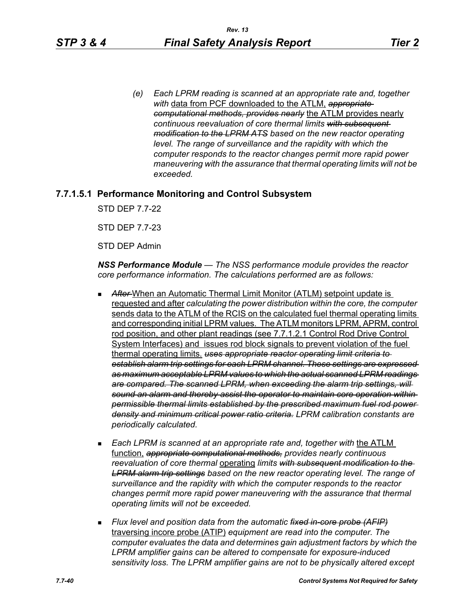*(e) Each LPRM reading is scanned at an appropriate rate and, together with* data from PCF downloaded to the ATLM, *appropriate computational methods, provides nearly* the ATLM provides nearly *continuous reevaluation of core thermal limits with subsequent modification to the LPRM ATS based on the new reactor operating level. The range of surveillance and the rapidity with which the computer responds to the reactor changes permit more rapid power maneuvering with the assurance that thermal operating limits will not be exceeded.*

# **7.7.1.5.1 Performance Monitoring and Control Subsystem**

STD DEP 7.7-22

STD DEP 7.7-23

STD DEP Admin

*NSS Performance Module — The NSS performance module provides the reactor core performance information. The calculations performed are as follows:*

- After-When an Automatic Thermal Limit Monitor (ATLM) setpoint update is requested and after *calculating the power distribution within the core, the computer*  sends data to the ATLM of the RCIS on the calculated fuel thermal operating limits and corresponding initial LPRM values. The ATLM monitors LPRM, APRM, control rod position, and other plant readings (see 7.7.1.2.1 Control Rod Drive Control System Interfaces) and issues rod block signals to prevent violation of the fuel thermal operating limits. *uses appropriate reactor operating limit criteria to establish alarm trip settings for each LPRM channel. These settings are expressed as maximum acceptable LPRM values to which the actual scanned LPRM readings are compared. The scanned LPRM, when exceeding the alarm trip settings, will sound an alarm and thereby assist the operator to maintain core operation within permissible thermal limits established by the prescribed maximum fuel rod power density and minimum critical power ratio criteria. LPRM calibration constants are periodically calculated.*
- **Each LPRM is scanned at an appropriate rate and, together with the ATLM** function, *appropriate computational methods, provides nearly continuous reevaluation of core thermal* operating *limits with subsequent modification to the LPRM alarm trip settings based on the new reactor operating level. The range of surveillance and the rapidity with which the computer responds to the reactor changes permit more rapid power maneuvering with the assurance that thermal operating limits will not be exceeded.*
- *Flux level and position data from the automatic fixed in-core probe (AFIP)* traversing incore probe (ATIP) *equipment are read into the computer. The computer evaluates the data and determines gain adjustment factors by which the LPRM amplifier gains can be altered to compensate for exposure-induced sensitivity loss. The LPRM amplifier gains are not to be physically altered except*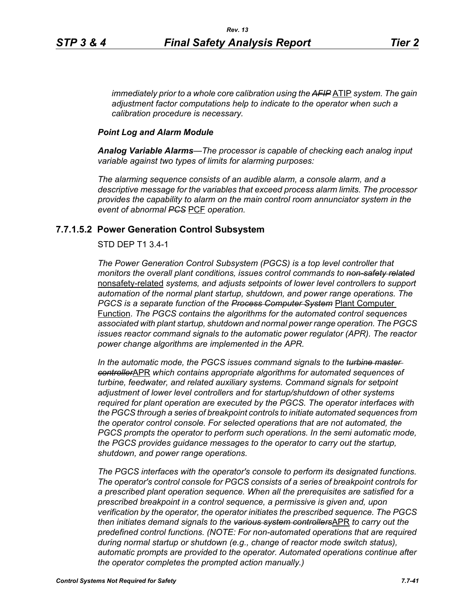*immediately prior to a whole core calibration using the AFIP* ATIP *system. The gain adjustment factor computations help to indicate to the operator when such a calibration procedure is necessary.*

#### *Point Log and Alarm Module*

*Analog Variable Alarms—The processor is capable of checking each analog input variable against two types of limits for alarming purposes:*

*The alarming sequence consists of an audible alarm, a console alarm, and a descriptive message for the variables that exceed process alarm limits. The processor provides the capability to alarm on the main control room annunciator system in the event of abnormal PCS* PCF *operation.*

#### **7.7.1.5.2 Power Generation Control Subsystem**

#### STD DEP T1 3.4-1

*The Power Generation Control Subsystem (PGCS) is a top level controller that monitors the overall plant conditions, issues control commands to non-safety related* nonsafety-related *systems, and adjusts setpoints of lower level controllers to support automation of the normal plant startup, shutdown, and power range operations. The PGCS is a separate function of the Process Computer System* Plant Computer Function. *The PGCS contains the algorithms for the automated control sequences associated with plant startup, shutdown and normal power range operation. The PGCS issues reactor command signals to the automatic power regulator (APR). The reactor power change algorithms are implemented in the APR.*

*In the automatic mode, the PGCS issues command signals to the turbine master controller*APR *which contains appropriate algorithms for automated sequences of turbine, feedwater, and related auxiliary systems. Command signals for setpoint adjustment of lower level controllers and for startup/shutdown of other systems required for plant operation are executed by the PGCS. The operator interfaces with the PGCS through a series of breakpoint controls to initiate automated sequences from the operator control console. For selected operations that are not automated, the PGCS prompts the operator to perform such operations. In the semi automatic mode, the PGCS provides guidance messages to the operator to carry out the startup, shutdown, and power range operations.*

*The PGCS interfaces with the operator's console to perform its designated functions. The operator's control console for PGCS consists of a series of breakpoint controls for a prescribed plant operation sequence. When all the prerequisites are satisfied for a prescribed breakpoint in a control sequence, a permissive is given and, upon verification by the operator, the operator initiates the prescribed sequence. The PGCS then initiates demand signals to the various system controllers*APR *to carry out the predefined control functions. (NOTE: For non-automated operations that are required during normal startup or shutdown (e.g., change of reactor mode switch status), automatic prompts are provided to the operator. Automated operations continue after the operator completes the prompted action manually.)*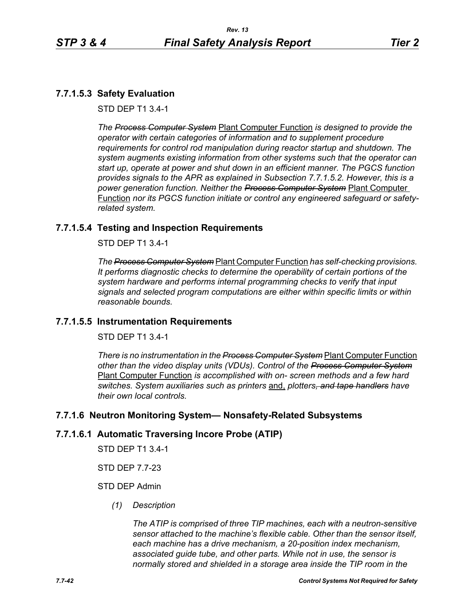# **7.7.1.5.3 Safety Evaluation**

STD DEP T1 3.4-1

*The Process Computer System* Plant Computer Function *is designed to provide the operator with certain categories of information and to supplement procedure requirements for control rod manipulation during reactor startup and shutdown. The system augments existing information from other systems such that the operator can start up, operate at power and shut down in an efficient manner. The PGCS function provides signals to the APR as explained in Subsection 7.7.1.5.2. However, this is a power generation function. Neither the Process Computer System* Plant Computer Function *nor its PGCS function initiate or control any engineered safeguard or safetyrelated system.*

# **7.7.1.5.4 Testing and Inspection Requirements**

STD DEP T1 3.4-1

*The Process Computer System* Plant Computer Function *has self-checking provisions. It performs diagnostic checks to determine the operability of certain portions of the system hardware and performs internal programming checks to verify that input signals and selected program computations are either within specific limits or within reasonable bounds.*

# **7.7.1.5.5 Instrumentation Requirements**

STD DEP T1 3.4-1

*There is no instrumentation in the Process Computer System* Plant Computer Function *other than the video display units (VDUs). Control of the Process Computer System* Plant Computer Function *is accomplished with on- screen methods and a few hard switches. System auxiliaries such as printers* and, *plotters, and tape handlers have their own local controls.*

# **7.7.1.6 Neutron Monitoring System— Nonsafety-Related Subsystems**

# **7.7.1.6.1 Automatic Traversing Incore Probe (ATIP)**

STD DEP T1 3.4-1

STD DEP 7.7-23

# STD DEP Admin

*(1) Description*

*The ATIP is comprised of three TIP machines, each with a neutron-sensitive sensor attached to the machine's flexible cable. Other than the sensor itself, each machine has a drive mechanism, a 20-position index mechanism, associated guide tube, and other parts. While not in use, the sensor is normally stored and shielded in a storage area inside the TIP room in the*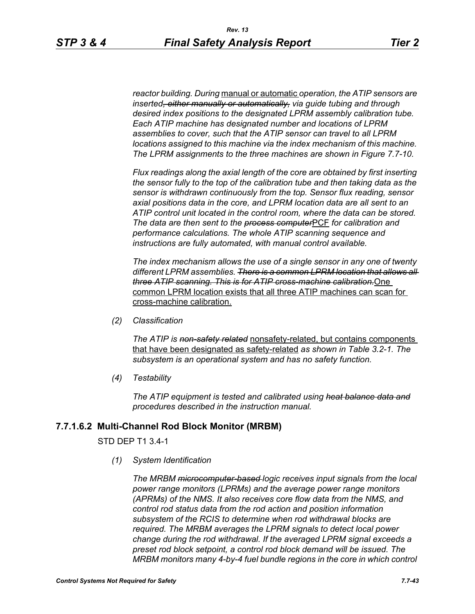*reactor building. During* manual or automatic *operation, the ATIP sensors are inserted, either manually or automatically, via guide tubing and through desired index positions to the designated LPRM assembly calibration tube. Each ATIP machine has designated number and locations of LPRM assemblies to cover, such that the ATIP sensor can travel to all LPRM locations assigned to this machine via the index mechanism of this machine. The LPRM assignments to the three machines are shown in Figure 7.7-10.*

*Flux readings along the axial length of the core are obtained by first inserting the sensor fully to the top of the calibration tube and then taking data as the sensor is withdrawn continuously from the top. Sensor flux reading, sensor axial positions data in the core, and LPRM location data are all sent to an ATIP control unit located in the control room, where the data can be stored. The data are then sent to the process computer*PCF *for calibration and performance calculations. The whole ATIP scanning sequence and instructions are fully automated, with manual control available.*

*The index mechanism allows the use of a single sensor in any one of twenty different LPRM assemblies. There is a common LPRM location that allows all three ATIP scanning. This is for ATIP cross-machine calibration.*One common LPRM location exists that all three ATIP machines can scan for cross-machine calibration.

*(2) Classification*

*The ATIP is non-safety related* nonsafety-related, but contains components that have been designated as safety-related *as shown in Table 3.2-1. The subsystem is an operational system and has no safety function.*

*(4) Testability*

*The ATIP equipment is tested and calibrated using heat balance data and procedures described in the instruction manual.*

# **7.7.1.6.2 Multi-Channel Rod Block Monitor (MRBM)**

#### STD DEP T1 3.4-1

*(1) System Identification*

*The MRBM microcomputer-based logic receives input signals from the local power range monitors (LPRMs) and the average power range monitors (APRMs) of the NMS. It also receives core flow data from the NMS, and control rod status data from the rod action and position information subsystem of the RCIS to determine when rod withdrawal blocks are required. The MRBM averages the LPRM signals to detect local power change during the rod withdrawal. If the averaged LPRM signal exceeds a preset rod block setpoint, a control rod block demand will be issued. The MRBM monitors many 4-by-4 fuel bundle regions in the core in which control*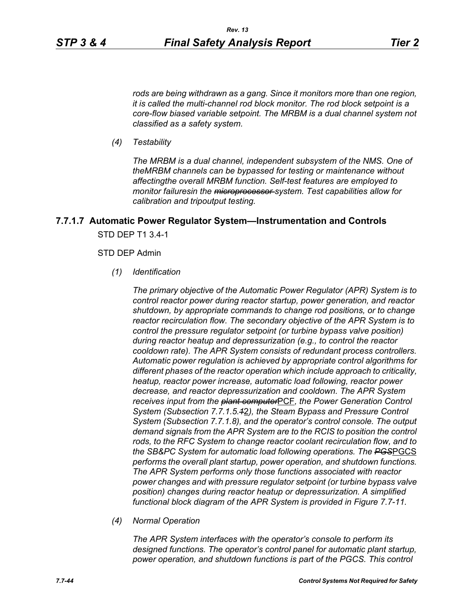*rods are being withdrawn as a gang. Since it monitors more than one region, it is called the multi-channel rod block monitor. The rod block setpoint is a core-flow biased variable setpoint. The MRBM is a dual channel system not classified as a safety system.*

*(4) Testability*

*The MRBM is a dual channel, independent subsystem of the NMS. One of theMRBM channels can be bypassed for testing or maintenance without affectingthe overall MRBM function. Self-test features are employed to monitor failuresin the microprocessor system. Test capabilities allow for calibration and tripoutput testing.*

# **7.7.1.7 Automatic Power Regulator System—Instrumentation and Controls** STD DEP T1 3.4-1

#### STD DEP Admin

*(1) Identification*

*The primary objective of the Automatic Power Regulator (APR) System is to control reactor power during reactor startup, power generation, and reactor shutdown, by appropriate commands to change rod positions, or to change reactor recirculation flow. The secondary objective of the APR System is to control the pressure regulator setpoint (or turbine bypass valve position) during reactor heatup and depressurization (e.g., to control the reactor cooldown rate). The APR System consists of redundant process controllers. Automatic power regulation is achieved by appropriate control algorithms for different phases of the reactor operation which include approach to criticality, heatup, reactor power increase, automatic load following, reactor power decrease, and reactor depressurization and cooldown. The APR System receives input from the plant computer*PCF*, the Power Generation Control System (Subsection 7.7.1.5.1*2*), the Steam Bypass and Pressure Control System (Subsection 7.7.1.8), and the operator's control console. The output demand signals from the APR System are to the RCIS to position the control rods, to the RFC System to change reactor coolant recirculation flow, and to the SB&PC System for automatic load following operations. The PGS*PGCS *performs the overall plant startup, power operation, and shutdown functions. The APR System performs only those functions associated with reactor power changes and with pressure regulator setpoint (or turbine bypass valve position) changes during reactor heatup or depressurization. A simplified functional block diagram of the APR System is provided in Figure 7.7-11.*

*(4) Normal Operation*

*The APR System interfaces with the operator's console to perform its designed functions. The operator's control panel for automatic plant startup, power operation, and shutdown functions is part of the PGCS. This control*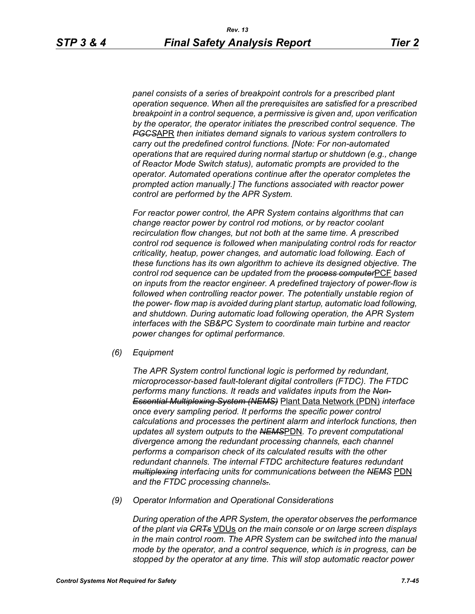*panel consists of a series of breakpoint controls for a prescribed plant operation sequence. When all the prerequisites are satisfied for a prescribed breakpoint in a control sequence, a permissive is given and, upon verification by the operator, the operator initiates the prescribed control sequence. The PGCS*APR *then initiates demand signals to various system controllers to carry out the predefined control functions. [Note: For non-automated operations that are required during normal startup or shutdown (e.g., change of Reactor Mode Switch status), automatic prompts are provided to the operator. Automated operations continue after the operator completes the prompted action manually.] The functions associated with reactor power control are performed by the APR System.*

*For reactor power control, the APR System contains algorithms that can change reactor power by control rod motions, or by reactor coolant recirculation flow changes, but not both at the same time. A prescribed control rod sequence is followed when manipulating control rods for reactor criticality, heatup, power changes, and automatic load following. Each of these functions has its own algorithm to achieve its designed objective. The control rod sequence can be updated from the process computer*PCF *based on inputs from the reactor engineer. A predefined trajectory of power-flow is followed when controlling reactor power. The potentially unstable region of the power- flow map is avoided during plant startup, automatic load following, and shutdown. During automatic load following operation, the APR System interfaces with the SB&PC System to coordinate main turbine and reactor power changes for optimal performance.*

*(6) Equipment*

*The APR System control functional logic is performed by redundant, microprocessor-based fault-tolerant digital controllers (FTDC). The FTDC performs many functions. It reads and validates inputs from the Non-Essential Multiplexing System (NEMS)* Plant Data Network (PDN) *interface once every sampling period. It performs the specific power control calculations and processes the pertinent alarm and interlock functions, then updates all system outputs to the NEMS*PDN*. To prevent computational divergence among the redundant processing channels, each channel performs a comparison check of its calculated results with the other redundant channels. The internal FTDC architecture features redundant multiplexing interfacing units for communications between the NEMS* PDN *and the FTDC processing channels..*

*(9) Operator Information and Operational Considerations*

*During operation of the APR System, the operator observes the performance of the plant via CRTs* VDUs *on the main console or on large screen displays in the main control room. The APR System can be switched into the manual mode by the operator, and a control sequence, which is in progress, can be stopped by the operator at any time. This will stop automatic reactor power*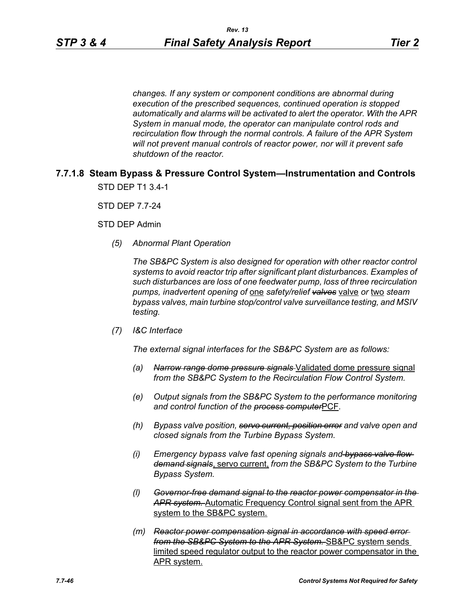*changes. If any system or component conditions are abnormal during execution of the prescribed sequences, continued operation is stopped automatically and alarms will be activated to alert the operator. With the APR System in manual mode, the operator can manipulate control rods and recirculation flow through the normal controls. A failure of the APR System will not prevent manual controls of reactor power, nor will it prevent safe shutdown of the reactor.*

# **7.7.1.8 Steam Bypass & Pressure Control System—Instrumentation and Controls** STD DEP T1 3.4-1

STD DEP 7.7-24

STD DEP Admin

*(5) Abnormal Plant Operation*

*The SB&PC System is also designed for operation with other reactor control systems to avoid reactor trip after significant plant disturbances. Examples of such disturbances are loss of one feedwater pump, loss of three recirculation pumps, inadvertent opening of* one *safety/relief valves* valve *or* two *steam bypass valves, main turbine stop/control valve surveillance testing, and MSIV testing.*

*(7) I&C Interface*

*The external signal interfaces for the SB&PC System are as follows:*

- *(a) Narrow range dome pressure signals* Validated dome pressure signal *from the SB&PC System to the Recirculation Flow Control System.*
- *(e) Output signals from the SB&PC System to the performance monitoring and control function of the process computer*PCF*.*
- *(h) Bypass valve position, servo current, position error and valve open and closed signals from the Turbine Bypass System.*
- *(i) Emergency bypass valve fast opening signals and bypass valve flow demand signals*, servo current, *from the SB&PC System to the Turbine Bypass System.*
- *(l) Governor-free demand signal to the reactor power compensator in the APR system.* Automatic Frequency Control signal sent from the APR system to the SB&PC system.
- *(m) Reactor power compensation signal in accordance with speed error from the SB&PC System to the APR System.* SB&PC system sends limited speed regulator output to the reactor power compensator in the APR system.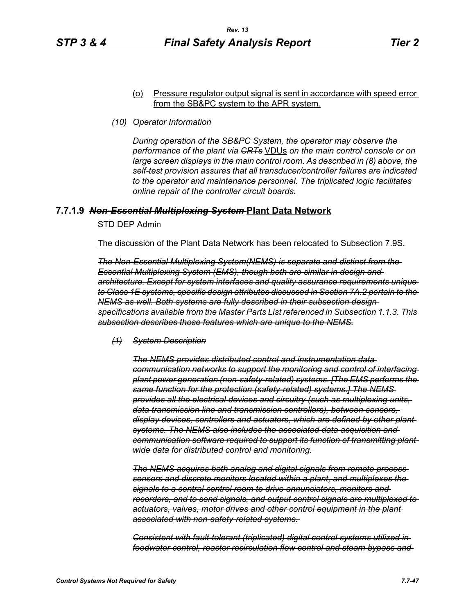#### (o) Pressure regulator output signal is sent in accordance with speed error from the SB&PC system to the APR system.

*(10) Operator Information*

*During operation of the SB&PC System, the operator may observe the performance of the plant via CRTs* VDUs *on the main control console or on large screen displays in the main control room. As described in (8) above, the self-test provision assures that all transducer/controller failures are indicated to the operator and maintenance personnel. The triplicated logic facilitates online repair of the controller circuit boards.*

# **7.7.1.9** *Non-Essential Multiplexing System* **Plant Data Network**

STD DEP Admin

The discussion of the Plant Data Network has been relocated to Subsection 7.9S.

*The Non-Essential Multiplexing System(NEMS) is separate and distinct from the Essential Multiplexing System (EMS), though both are similar in design and architecture. Except for system interfaces and quality assurance requirements unique to Class 1E systems, specific design attributes discussed in Section 7A.2 pertain to the NEMS as well. Both systems are fully described in their subsection design specifications available from the Master Parts List referenced in Subsection 1.1.3. This subsection describes those features which are unique to the NEMS.*

*(1) System Description*

*The NEMS provides distributed control and instrumentation data communication networks to support the monitoring and control of interfacing plant power generation (non-safety-related) systems. [The EMS performs the same function for the protection (safety-related) systems.] The NEMS provides all the electrical devices and circuitry (such as multiplexing units, data transmission line and transmission controllers), between sensors, display devices, controllers and actuators, which are defined by other plant systems. The NEMS also includes the associated data acquisition and communication software required to support its function of transmitting plantwide data for distributed control and monitoring.* 

*The NEMS acquires both analog and digital signals from remote process sensors and discrete monitors located within a plant, and multiplexes the signals to a central control room to drive annunciators, monitors and recorders, and to send signals, and output control signals are multiplexed to actuators, valves, motor drives and other control equipment in the plant associated with non-safety-related systems.* 

*Consistent with fault-tolerant (triplicated) digital control systems utilized in feedwater control, reactor recirculation flow control and steam bypass and*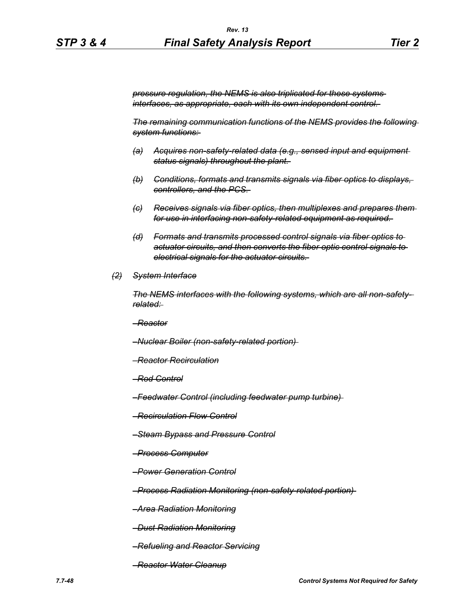*pressure regulation, the NEMS is also triplicated for these systems interfaces, as appropriate, each with its own independent control.* 

*The remaining communication functions of the NEMS provides the following system functions:* 

- *(a) Acquires non-safety-related data (e.g., sensed input and equipment status signals) throughout the plant.*
- *(b) Conditions, formats and transmits signals via fiber optics to displays, controllers, and the PCS.*
- *(c) Receives signals via fiber optics, then multiplexes and prepares them for use in interfacing non-safety-related equipment as required.*
- *(d) Formats and transmits processed control signals via fiber optics to actuator circuits, and then converts the fiber optic control signals to electrical signals for the actuator circuits.*
- *(2) System Interface*

*The NEMS interfaces with the following systems, which are all non-safetyrelated:* 

*–Reactor*

*–Nuclear Boiler (non-safety-related portion)* 

- *–Reactor Recirculation*
- *–Rod Control*
- *–Feedwater Control (including feedwater pump turbine)*
- *–Recirculation Flow Control*
- *–Steam Bypass and Pressure Control*
- *–Process Computer*
- *–Power Generation Control*

*–Process Radiation Monitoring (non-safety-related portion)* 

- *–Area Radiation Monitoring*
- *–Dust Radiation Monitoring*
- *–Refueling and Reactor Servicing*
- *–Reactor Water Cleanup*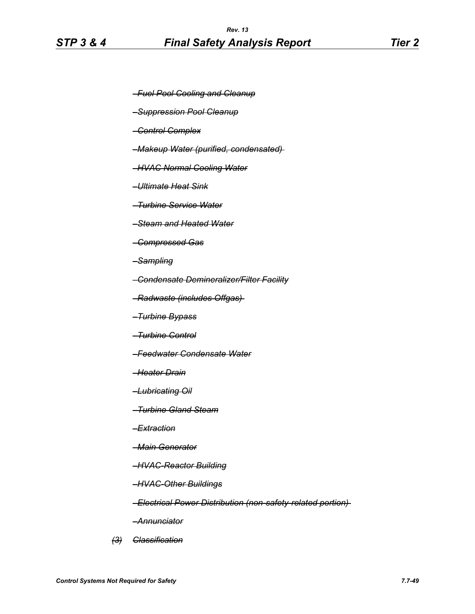- *–Fuel Pool Cooling and Cleanup*
- *–Suppression Pool Cleanup*
- *–Control Complex*
- *–Makeup Water (purified, condensated)*
- *–HVAC Normal Cooling Water*
- *–Ultimate Heat Sink*
- *–Turbine Service Water*
- *–Steam and Heated Water*
- *–Compressed Gas*
- *–Sampling*
- *–Condensate Demineralizer/Filter Facility*
- *–Radwaste (includes Offgas)*
- *–Turbine Bypass*
- *–Turbine Control*
- *–Feedwater Condensate Water*
- *–Heater Drain*
- *–Lubricating Oil*
- *–Turbine Gland Steam*
- *–Extraction*
- *–Main Generator*
- *–HVAC-Reactor Building*
- *–HVAC-Other Buildings*
- *–Electrical Power Distribution (non-safety-related portion)*
- *–Annunciator*
- *(3) Classification*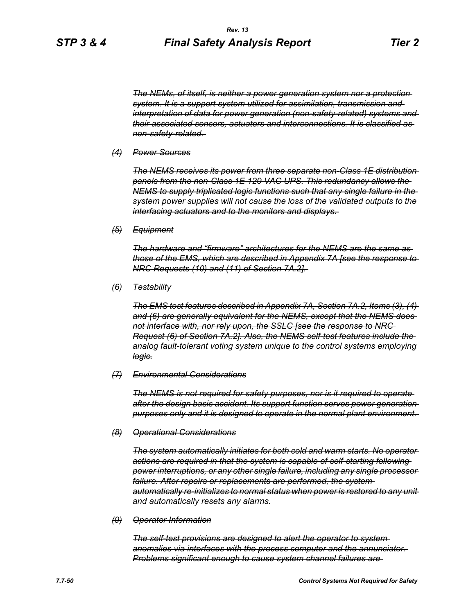*The NEMs, of itself, is neither a power generation system nor a protection system. It is a support system utilized for assimilation, transmission and interpretation of data for power generation (non-safety-related) systems and their associated sensors, actuators and interconnections. It is classified as non-safety-related.* 

#### *(4) Power Sources*

*The NEMS receives its power from three separate non-Class 1E distribution panels from the non-Class 1E 120 VAC UPS. This redundancy allows the NEMS to supply triplicated logic functions such that any single failure in the system power supplies will not cause the loss of the validated outputs to the interfacing actuators and to the monitors and displays.* 

*(5) Equipment*

*The hardware and "firmware" architectures for the NEMS are the same as those of the EMS, which are described in Appendix 7A [see the response to NRC Requests (10) and (11) of Section 7A.2].* 

*(6) Testability*

*The EMS test features described in Appendix 7A, Section 7A.2, Items (3), (4) and (6) are generally equivalent for the NEMS, except that the NEMS does not interface with, nor rely upon, the SSLC [see the response to NRC Request (6) of Section 7A.2]. Also, the NEMS self-test features include the analog fault-tolerant voting system unique to the control systems employing logic.*

#### *(7) Environmental Considerations*

*The NEMS is not required for safety purposes, nor is it required to operate after the design basis accident. Its support function serves power generation purposes only and it is designed to operate in the normal plant environment.* 

#### *(8) Operational Considerations*

*The system automatically initiates for both cold and warm starts. No operator actions are required in that the system is capable of self-starting following power interruptions, or any other single failure, including any single processor*  failure. After repairs or replacements are performed, the system*automatically re-initializes to normal status when power is restored to any unit and automatically resets any alarms.* 

#### *(9) Operator Information*

*The self-test provisions are designed to alert the operator to system anomalies via interfaces with the process computer and the annunciator. Problems significant enough to cause system channel failures are*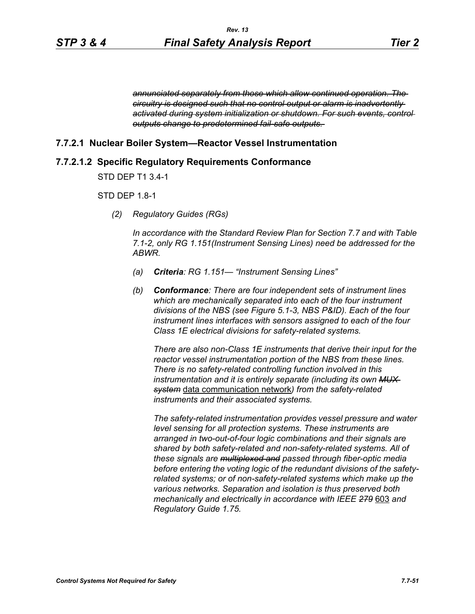*annunciated separately from those which allow continued operation. The circuitry is designed such that no control output or alarm is inadvertently activated during system initialization or shutdown. For such events, control outputs change to predetermined fail-safe outputs.* 

# **7.7.2.1 Nuclear Boiler System—Reactor Vessel Instrumentation**

#### **7.7.2.1.2 Specific Regulatory Requirements Conformance**

STD DEP T1 3.4-1

#### STD DEP 1.8-1

*(2) Regulatory Guides (RGs)*

*In accordance with the Standard Review Plan for Section 7.7 and with Table 7.1-2, only RG 1.151(Instrument Sensing Lines) need be addressed for the ABWR.*

- *(a) Criteria: RG 1.151— "Instrument Sensing Lines"*
- *(b) Conformance: There are four independent sets of instrument lines which are mechanically separated into each of the four instrument divisions of the NBS (see Figure 5.1-3, NBS P&ID). Each of the four instrument lines interfaces with sensors assigned to each of the four Class 1E electrical divisions for safety-related systems.*

*There are also non-Class 1E instruments that derive their input for the reactor vessel instrumentation portion of the NBS from these lines. There is no safety-related controlling function involved in this instrumentation and it is entirely separate (including its own MUX system* data communication network*) from the safety-related instruments and their associated systems.*

*The safety-related instrumentation provides vessel pressure and water level sensing for all protection systems. These instruments are arranged in two-out-of-four logic combinations and their signals are shared by both safety-related and non-safety-related systems. All of these signals are multiplexed and passed through fiber-optic media before entering the voting logic of the redundant divisions of the safetyrelated systems; or of non-safety-related systems which make up the various networks. Separation and isolation is thus preserved both mechanically and electrically in accordance with IEEE 279* 603 *and Regulatory Guide 1.75.*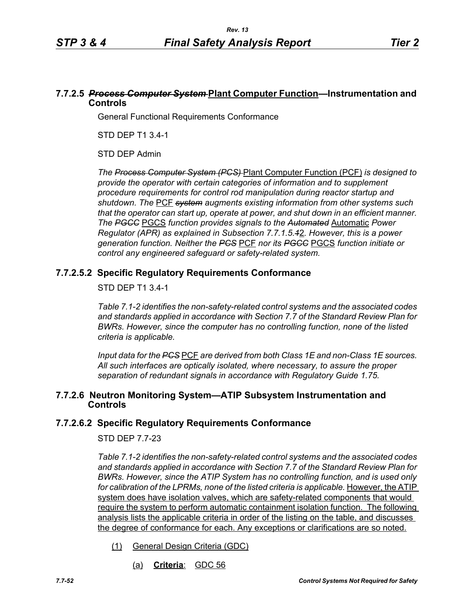# **7.7.2.5** *Process Computer System* **Plant Computer Function—Instrumentation and Controls**

General Functional Requirements Conformance

STD DEP T1 3.4-1

STD DEP Admin

*The Process Computer System (PCS)* Plant Computer Function (PCF) *is designed to provide the operator with certain categories of information and to supplement procedure requirements for control rod manipulation during reactor startup and shutdown. The* PCF *system augments existing information from other systems such that the operator can start up, operate at power, and shut down in an efficient manner. The PGCC* PGCS *function provides signals to the Automated* Automatic *Power Regulator (APR) as explained in Subsection 7.7.1.5.1*2*. However, this is a power generation function. Neither the PCS* PCF *nor its PGCC* PGCS *function initiate or control any engineered safeguard or safety-related system.*

# **7.7.2.5.2 Specific Regulatory Requirements Conformance**

# STD DEP T1 3.4-1

*Table 7.1-2 identifies the non-safety-related control systems and the associated codes and standards applied in accordance with Section 7.7 of the Standard Review Plan for BWRs. However, since the computer has no controlling function, none of the listed criteria is applicable.*

*Input data for the PCS* PCF *are derived from both Class 1E and non-Class 1E sources. All such interfaces are optically isolated, where necessary, to assure the proper separation of redundant signals in accordance with Regulatory Guide 1.75.*

# **7.7.2.6 Neutron Monitoring System—ATIP Subsystem Instrumentation and Controls**

# **7.7.2.6.2 Specific Regulatory Requirements Conformance**

# STD DEP 7.7-23

*Table 7.1-2 identifies the non-safety-related control systems and the associated codes and standards applied in accordance with Section 7.7 of the Standard Review Plan for BWRs. However, since the ATIP System has no controlling function, and is used only*  for calibration of the LPRMs, none of the listed criteria is applicable. However, the ATIP system does have isolation valves, which are safety-related components that would require the system to perform automatic containment isolation function. The following analysis lists the applicable criteria in order of the listing on the table, and discusses the degree of conformance for each. Any exceptions or clarifications are so noted.

- (1) General Design Criteria (GDC)
	- (a) **Criteria**: GDC 56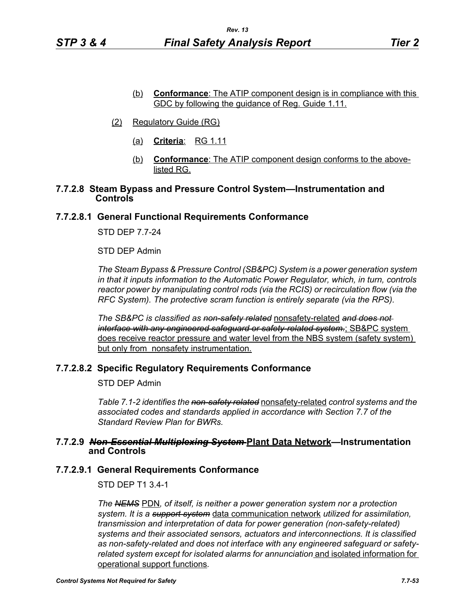- (b) **Conformance**: The ATIP component design is in compliance with this GDC by following the guidance of Reg. Guide 1.11.
- (2) Regulatory Guide (RG)
	- (a) **Criteria**: RG 1.11
	- (b) **Conformance**: The ATIP component design conforms to the abovelisted RG.

# **7.7.2.8 Steam Bypass and Pressure Control System—Instrumentation and Controls**

# **7.7.2.8.1 General Functional Requirements Conformance**

STD DEP 7.7-24

STD DEP Admin

*The Steam Bypass & Pressure Control (SB&PC) System is a power generation system in that it inputs information to the Automatic Power Regulator, which, in turn, controls reactor power by manipulating control rods (via the RCIS) or recirculation flow (via the RFC System). The protective scram function is entirely separate (via the RPS).*

*The SB&PC is classified as non-safety related* nonsafety-related *and does not interface with any engineered safeguard or safety-related system.*; SB&PC system does receive reactor pressure and water level from the NBS system (safety system) but only from nonsafety instrumentation.

# **7.7.2.8.2 Specific Regulatory Requirements Conformance**

STD DEP Admin

*Table 7.1-2 identifies the non-safety related* nonsafety-related *control systems and the associated codes and standards applied in accordance with Section 7.7 of the Standard Review Plan for BWRs.* 

# **7.7.2.9** *Non-Essential Multiplexing System* **Plant Data Network—Instrumentation and Controls**

# **7.7.2.9.1 General Requirements Conformance**

STD DEP T1 3.4-1

*The NEMS* PDN*, of itself, is neither a power generation system nor a protection system. It is a support system* data communication network *utilized for assimilation, transmission and interpretation of data for power generation (non-safety-related) systems and their associated sensors, actuators and interconnections. It is classified as non-safety-related and does not interface with any engineered safeguard or safetyrelated system except for isolated alarms for annunciation* and isolated information for operational support functions*.*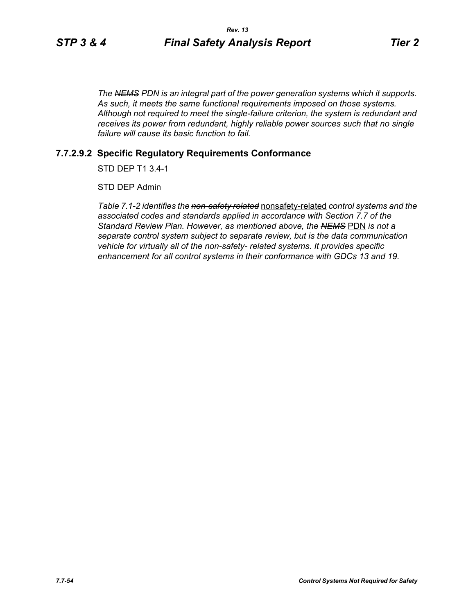*The NEMS PDN is an integral part of the power generation systems which it supports. As such, it meets the same functional requirements imposed on those systems. Although not required to meet the single-failure criterion, the system is redundant and receives its power from redundant, highly reliable power sources such that no single failure will cause its basic function to fail.*

# **7.7.2.9.2 Specific Regulatory Requirements Conformance**

STD DEP T1 3.4-1

STD DEP Admin

*Table 7.1-2 identifies the non-safety related* nonsafety-related *control systems and the associated codes and standards applied in accordance with Section 7.7 of the Standard Review Plan. However, as mentioned above, the NEMS* PDN *is not a separate control system subject to separate review, but is the data communication vehicle for virtually all of the non-safety- related systems. It provides specific enhancement for all control systems in their conformance with GDCs 13 and 19.*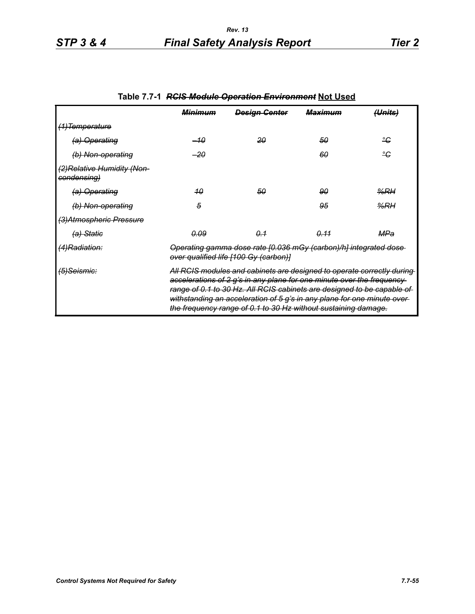|                                           | <u> Міпітнт</u>                                                                                                                                                                                                                                                                                                                                                         | <b>Design Genter</b> | <del>Maximum</del> | (Units) |
|-------------------------------------------|-------------------------------------------------------------------------------------------------------------------------------------------------------------------------------------------------------------------------------------------------------------------------------------------------------------------------------------------------------------------------|----------------------|--------------------|---------|
| (1) Temperature                           |                                                                                                                                                                                                                                                                                                                                                                         |                      |                    |         |
| (a) Operating                             | –10                                                                                                                                                                                                                                                                                                                                                                     | -20                  | 50                 | ீ       |
| (b) Non-operating                         | -20                                                                                                                                                                                                                                                                                                                                                                     |                      | 60                 | ீ       |
| (2)Relative Humidity (Non-<br>condensing) |                                                                                                                                                                                                                                                                                                                                                                         |                      |                    |         |
| <del>(a) Operating</del>                  | 40                                                                                                                                                                                                                                                                                                                                                                      | 50                   | 90                 | %RH     |
| (b) Non-operating                         | 5                                                                                                                                                                                                                                                                                                                                                                       |                      | 95                 | %RH     |
| (3) Atmospheric Pressure                  |                                                                                                                                                                                                                                                                                                                                                                         |                      |                    |         |
| (a) Statie                                | <u>0.09</u>                                                                                                                                                                                                                                                                                                                                                             | $\theta - 1$         | <del>0.11</del>    | MPa     |
| <del>(4)Radiation:</del>                  | Operating gamma dose rate [0.036 mGy (carbon)/h] integrated dose<br>over qualified life [100 Gy (carbon)]                                                                                                                                                                                                                                                               |                      |                    |         |
| (5)Seismic:                               | All RCIS modules and cabinets are designed to operate correctly during<br>accelerations of 2 g's in any plane for one minute over the frequency-<br>range of 0.1 to 30 Hz. All RCIS cabinets are designed to be capable of<br>withstanding an acceleration of 5 g's in any plane for one minute over-<br>the frequency range of 0.1 to 30 Hz without sustaining damage. |                      |                    |         |

# **Table 7.7-1** *RCIS Module Operation Environment* **Not Used**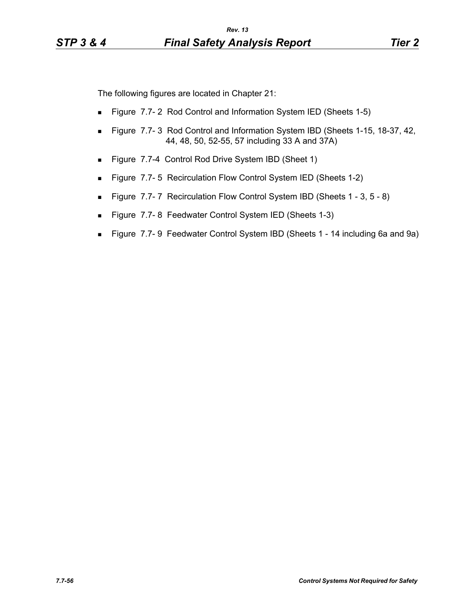The following figures are located in Chapter 21:

- **Figure 7.7-2 Rod Control and Information System IED (Sheets 1-5)**
- Figure 7.7-3 Rod Control and Information System IBD (Sheets 1-15, 18-37, 42, 44, 48, 50, 52-55, 57 including 33 A and 37A)
- Figure 7.7-4 Control Rod Drive System IBD (Sheet 1)
- **Figure 7.7-5 Recirculation Flow Control System IED (Sheets 1-2)**
- Figure 7.7-7 Recirculation Flow Control System IBD (Sheets 1 3, 5 8)
- Figure 7.7-8 Feedwater Control System IED (Sheets 1-3)
- Figure 7.7- 9 Feedwater Control System IBD (Sheets 1 14 including 6a and 9a)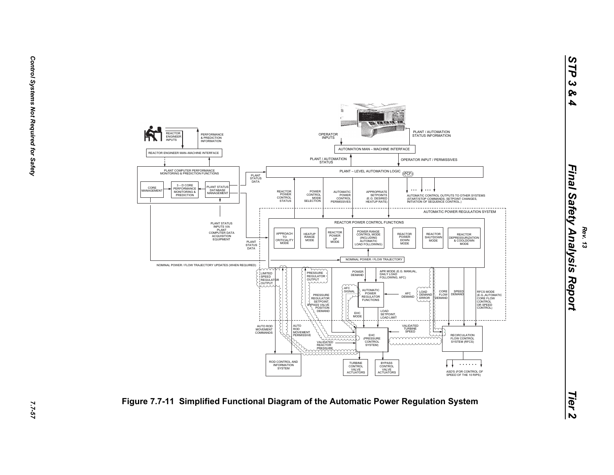